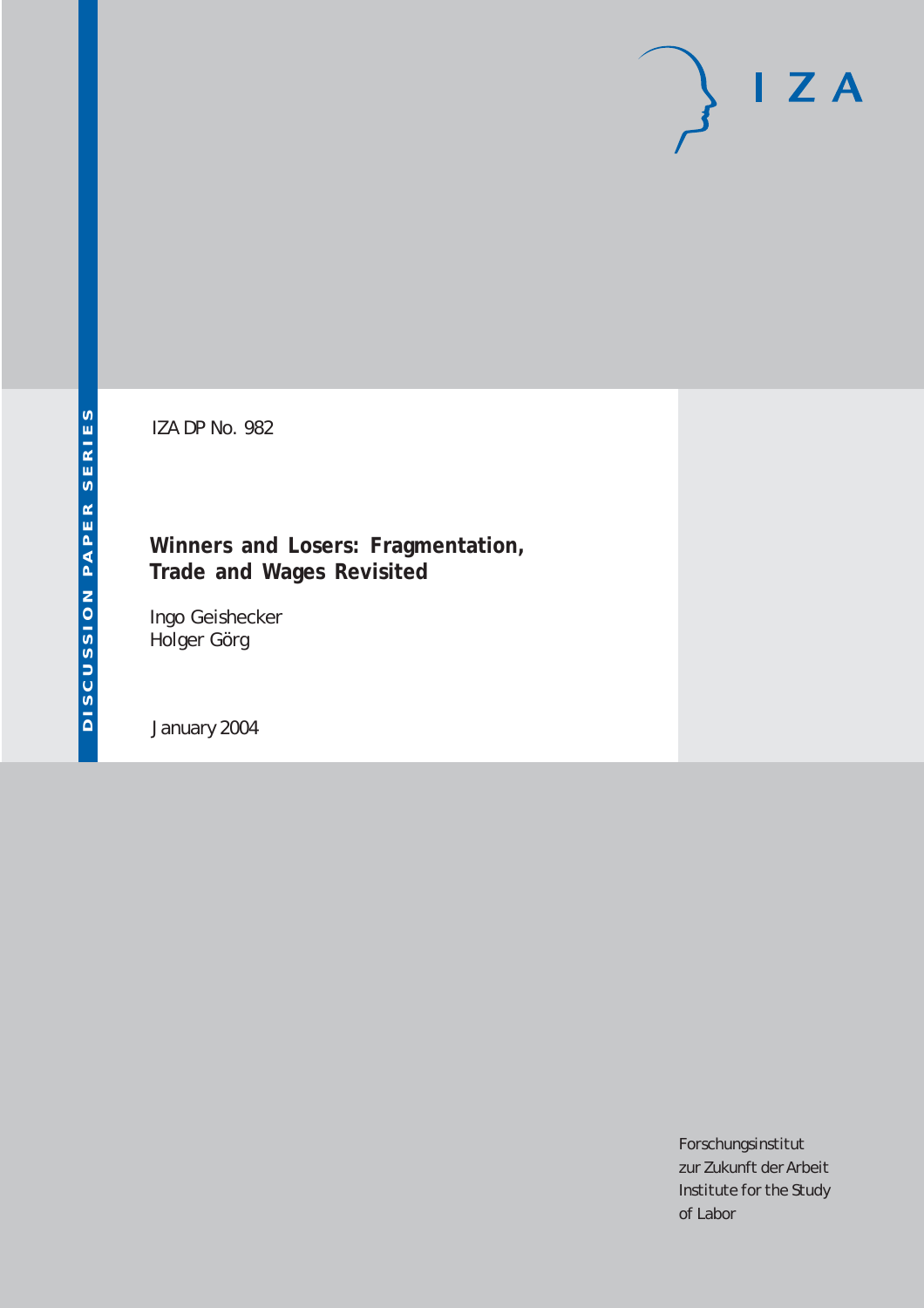# $I Z A$

IZA DP No. 982

## **Winners and Losers: Fragmentation, Trade and Wages Revisited**

Ingo Geishecker Holger Görg

January 2004

Forschungsinstitut zur Zukunft der Arbeit Institute for the Study of Labor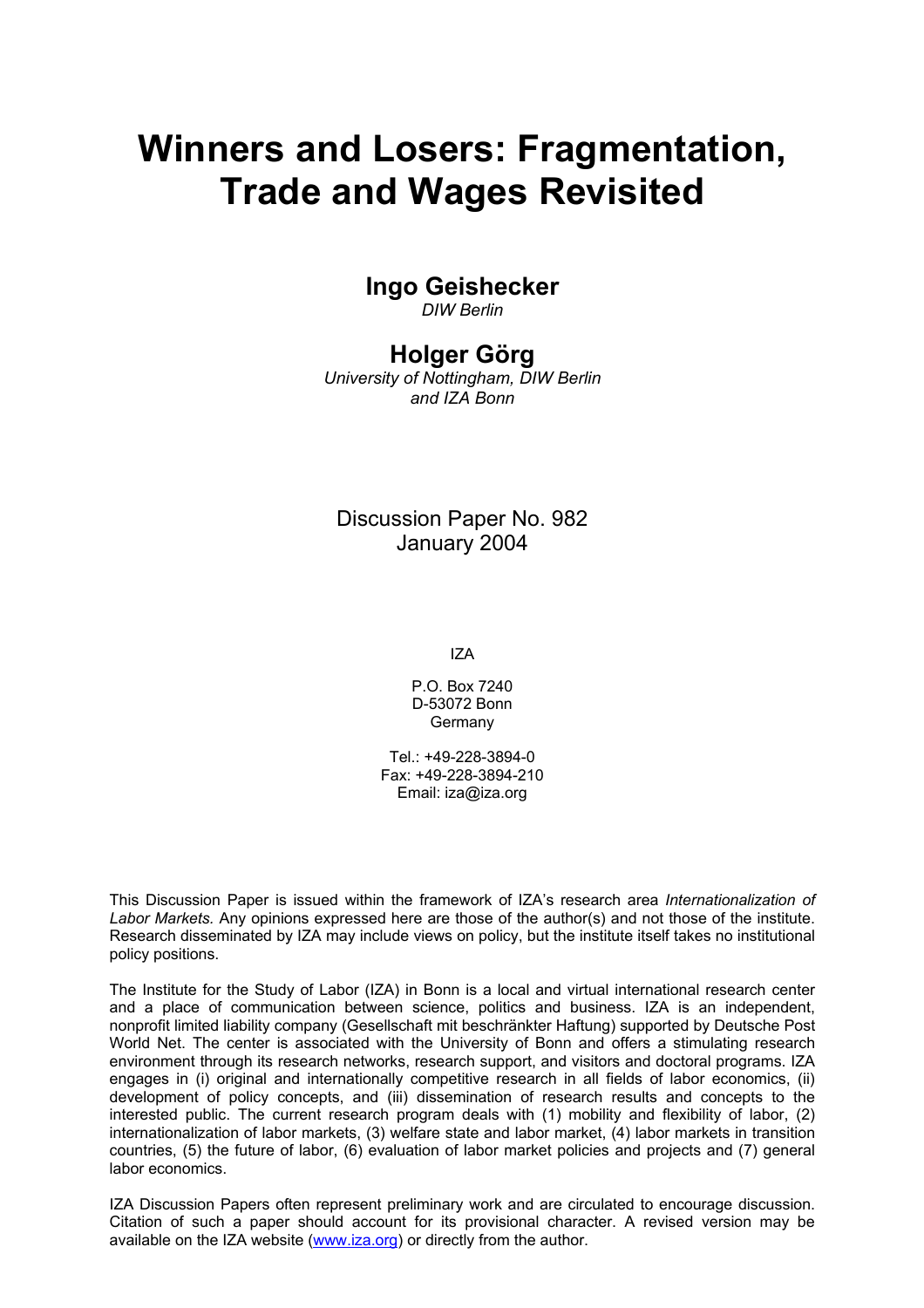# **Winners and Losers: Fragmentation, Trade and Wages Revisited**

## **Ingo Geishecker**

*DIW Berlin* 

## **Holger Görg**

*University of Nottingham, DIW Berlin and IZA Bonn* 

## Discussion Paper No. 982 January 2004

IZA

P.O. Box 7240 D-53072 Bonn Germany

Tel.: +49-228-3894-0 Fax: +49-228-3894-210 Email: [iza@iza.org](mailto:iza@iza.org)

This Discussion Paper is issued within the framework of IZA's research area *Internationalization of Labor Markets.* Any opinions expressed here are those of the author(s) and not those of the institute. Research disseminated by IZA may include views on policy, but the institute itself takes no institutional policy positions.

The Institute for the Study of Labor (IZA) in Bonn is a local and virtual international research center and a place of communication between science, politics and business. IZA is an independent, nonprofit limited liability company (Gesellschaft mit beschränkter Haftung) supported by Deutsche Post World Net. The center is associated with the University of Bonn and offers a stimulating research environment through its research networks, research support, and visitors and doctoral programs. IZA engages in (i) original and internationally competitive research in all fields of labor economics, (ii) development of policy concepts, and (iii) dissemination of research results and concepts to the interested public. The current research program deals with (1) mobility and flexibility of labor, (2) internationalization of labor markets, (3) welfare state and labor market, (4) labor markets in transition countries, (5) the future of labor, (6) evaluation of labor market policies and projects and (7) general labor economics.

IZA Discussion Papers often represent preliminary work and are circulated to encourage discussion. Citation of such a paper should account for its provisional character. A revised version may be available on the IZA website ([www.iza.org](http://www.iza.org/)) or directly from the author.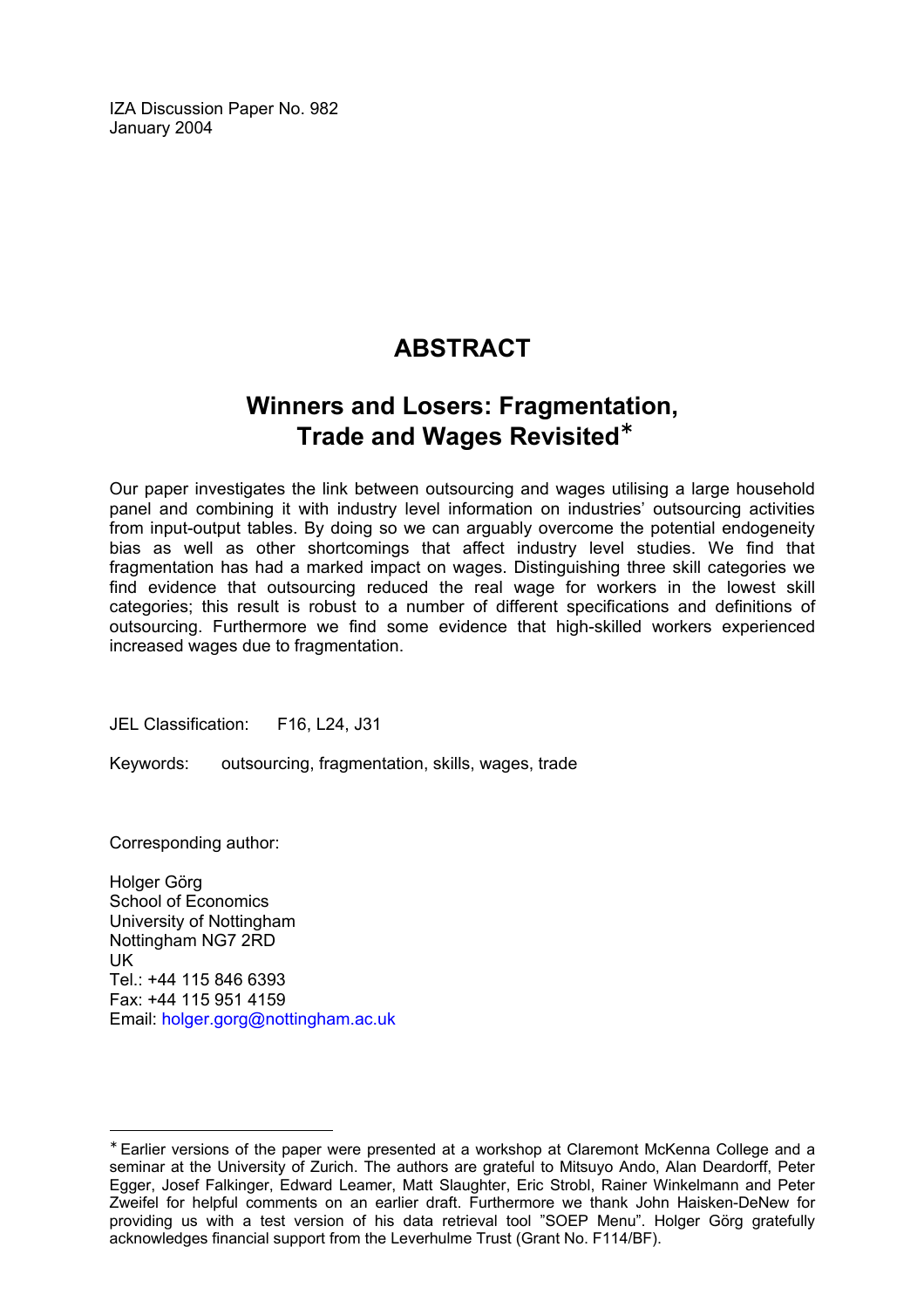IZA Discussion Paper No. 982 January 2004

## **ABSTRACT**

## **Winners and Losers: Fragmentation, Trade and Wages Revisited**[∗](#page-2-0)

Our paper investigates the link between outsourcing and wages utilising a large household panel and combining it with industry level information on industries' outsourcing activities from input-output tables. By doing so we can arguably overcome the potential endogeneity bias as well as other shortcomings that affect industry level studies. We find that fragmentation has had a marked impact on wages. Distinguishing three skill categories we find evidence that outsourcing reduced the real wage for workers in the lowest skill categories; this result is robust to a number of different specifications and definitions of outsourcing. Furthermore we find some evidence that high-skilled workers experienced increased wages due to fragmentation.

JEL Classification: F16, L24, J31

Keywords: outsourcing, fragmentation, skills, wages, trade

Corresponding author:

 $\overline{a}$ 

Holger Görg School of Economics University of Nottingham Nottingham NG7 2RD UK Tel.: +44 115 846 6393 Fax: +44 115 951 4159 Email: [holger.gorg@nottingham.ac.uk](mailto:holger.gorg@nottingham.ac.uk)

<span id="page-2-0"></span><sup>∗</sup> Earlier versions of the paper were presented at a workshop at Claremont McKenna College and a seminar at the University of Zurich. The authors are grateful to Mitsuyo Ando, Alan Deardorff, Peter Egger, Josef Falkinger, Edward Leamer, Matt Slaughter, Eric Strobl, Rainer Winkelmann and Peter Zweifel for helpful comments on an earlier draft. Furthermore we thank John Haisken-DeNew for providing us with a test version of his data retrieval tool "SOEP Menu". Holger Görg gratefully acknowledges financial support from the Leverhulme Trust (Grant No. F114/BF).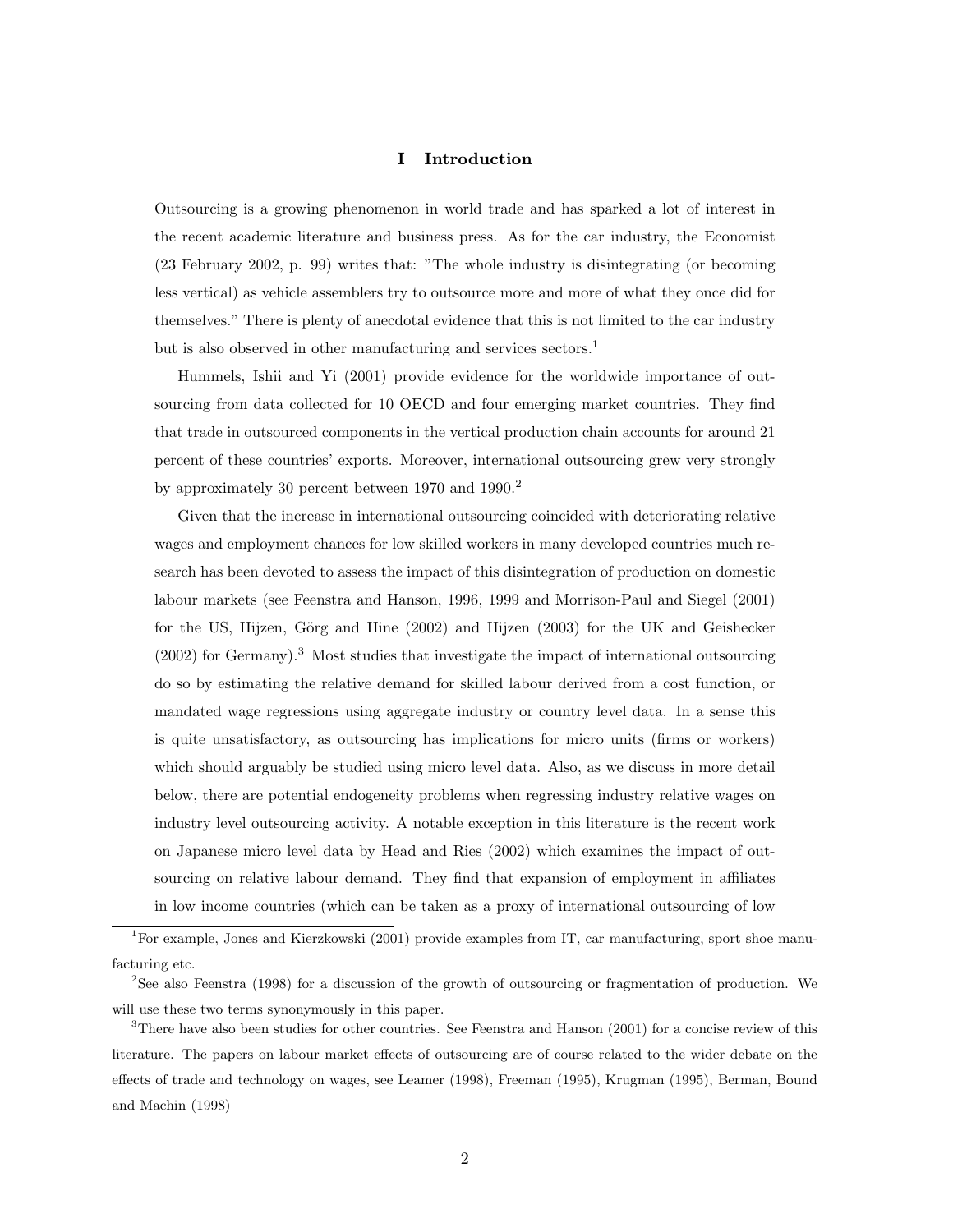#### I Introduction

Outsourcing is a growing phenomenon in world trade and has sparked a lot of interest in the recent academic literature and business press. As for the car industry, the Economist (23 February 2002, p. 99) writes that: "The whole industry is disintegrating (or becoming less vertical) as vehicle assemblers try to outsource more and more of what they once did for themselves." There is plenty of anecdotal evidence that this is not limited to the car industry but is also observed in other manufacturing and services sectors.<sup>1</sup>

Hummels, Ishii and Yi (2001) provide evidence for the worldwide importance of outsourcing from data collected for 10 OECD and four emerging market countries. They find that trade in outsourced components in the vertical production chain accounts for around 21 percent of these countries' exports. Moreover, international outsourcing grew very strongly by approximately 30 percent between 1970 and 1990.<sup>2</sup>

Given that the increase in international outsourcing coincided with deteriorating relative wages and employment chances for low skilled workers in many developed countries much research has been devoted to assess the impact of this disintegration of production on domestic labour markets (see Feenstra and Hanson, 1996, 1999 and Morrison-Paul and Siegel (2001) for the US, Hijzen, Görg and Hine  $(2002)$  and Hijzen  $(2003)$  for the UK and Geishecker  $(2002)$  for Germany).<sup>3</sup> Most studies that investigate the impact of international outsourcing do so by estimating the relative demand for skilled labour derived from a cost function, or mandated wage regressions using aggregate industry or country level data. In a sense this is quite unsatisfactory, as outsourcing has implications for micro units (firms or workers) which should arguably be studied using micro level data. Also, as we discuss in more detail below, there are potential endogeneity problems when regressing industry relative wages on industry level outsourcing activity. A notable exception in this literature is the recent work on Japanese micro level data by Head and Ries (2002) which examines the impact of outsourcing on relative labour demand. They find that expansion of employment in affiliates in low income countries (which can be taken as a proxy of international outsourcing of low

<sup>1</sup>For example, Jones and Kierzkowski (2001) provide examples from IT, car manufacturing, sport shoe manufacturing etc.

<sup>2</sup>See also Feenstra (1998) for a discussion of the growth of outsourcing or fragmentation of production. We will use these two terms synonymously in this paper.

<sup>&</sup>lt;sup>3</sup>There have also been studies for other countries. See Feenstra and Hanson (2001) for a concise review of this literature. The papers on labour market effects of outsourcing are of course related to the wider debate on the effects of trade and technology on wages, see Leamer (1998), Freeman (1995), Krugman (1995), Berman, Bound and Machin (1998)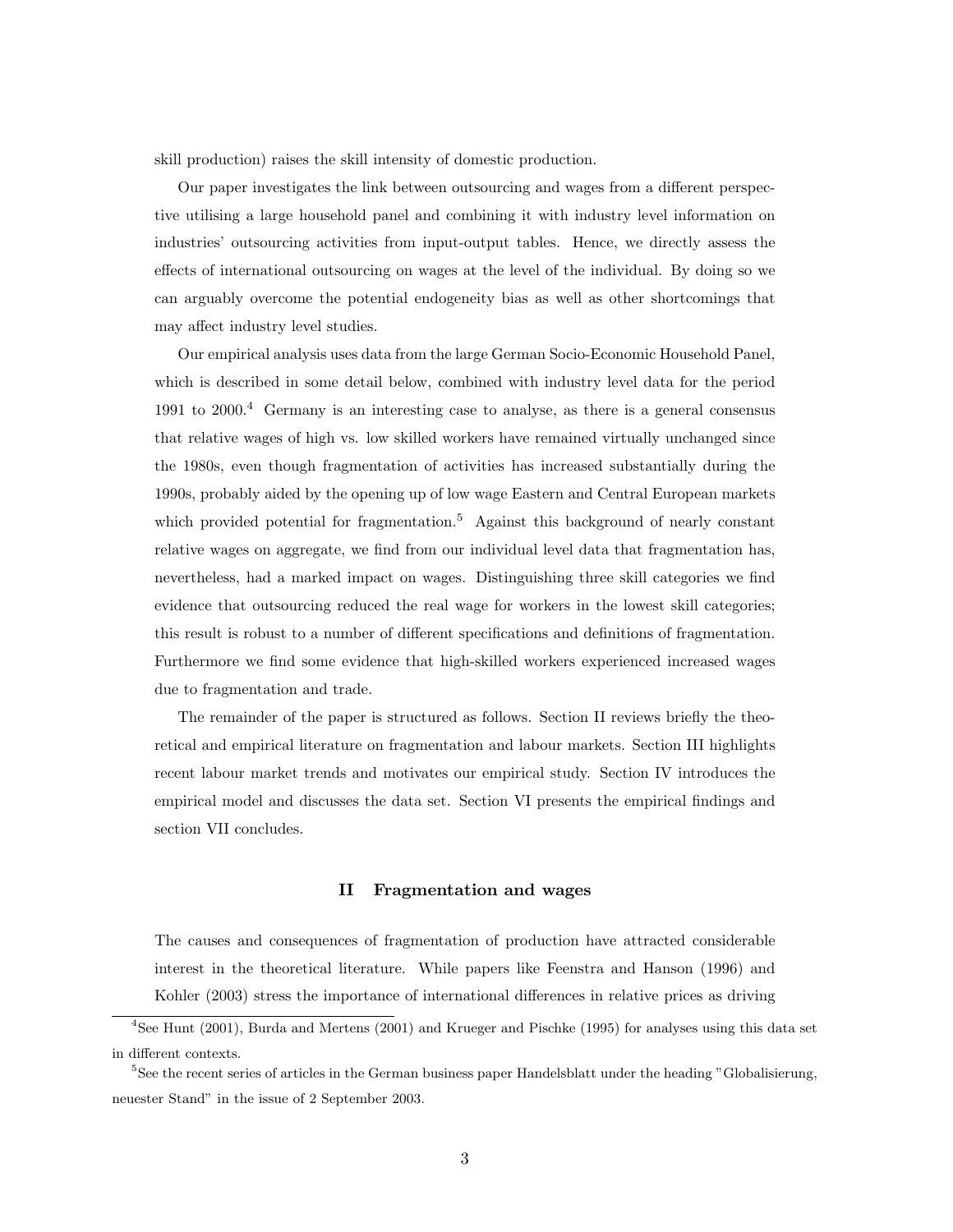skill production) raises the skill intensity of domestic production.

Our paper investigates the link between outsourcing and wages from a different perspective utilising a large household panel and combining it with industry level information on industries' outsourcing activities from input-output tables. Hence, we directly assess the effects of international outsourcing on wages at the level of the individual. By doing so we can arguably overcome the potential endogeneity bias as well as other shortcomings that may affect industry level studies.

Our empirical analysis uses data from the large German Socio-Economic Household Panel, which is described in some detail below, combined with industry level data for the period 1991 to  $2000<sup>4</sup>$  Germany is an interesting case to analyse, as there is a general consensus that relative wages of high vs. low skilled workers have remained virtually unchanged since the 1980s, even though fragmentation of activities has increased substantially during the 1990s, probably aided by the opening up of low wage Eastern and Central European markets which provided potential for fragmentation.<sup>5</sup> Against this background of nearly constant relative wages on aggregate, we find from our individual level data that fragmentation has, nevertheless, had a marked impact on wages. Distinguishing three skill categories we find evidence that outsourcing reduced the real wage for workers in the lowest skill categories; this result is robust to a number of different specifications and definitions of fragmentation. Furthermore we find some evidence that high-skilled workers experienced increased wages due to fragmentation and trade.

The remainder of the paper is structured as follows. Section II reviews briefly the theoretical and empirical literature on fragmentation and labour markets. Section III highlights recent labour market trends and motivates our empirical study. Section IV introduces the empirical model and discusses the data set. Section VI presents the empirical findings and section VII concludes.

#### II Fragmentation and wages

The causes and consequences of fragmentation of production have attracted considerable interest in the theoretical literature. While papers like Feenstra and Hanson (1996) and Kohler (2003) stress the importance of international differences in relative prices as driving

 $4$ See Hunt (2001), Burda and Mertens (2001) and Krueger and Pischke (1995) for analyses using this data set in different contexts.

<sup>&</sup>lt;sup>5</sup>See the recent series of articles in the German business paper Handelsblatt under the heading "Globalisierung, neuester Stand" in the issue of 2 September 2003.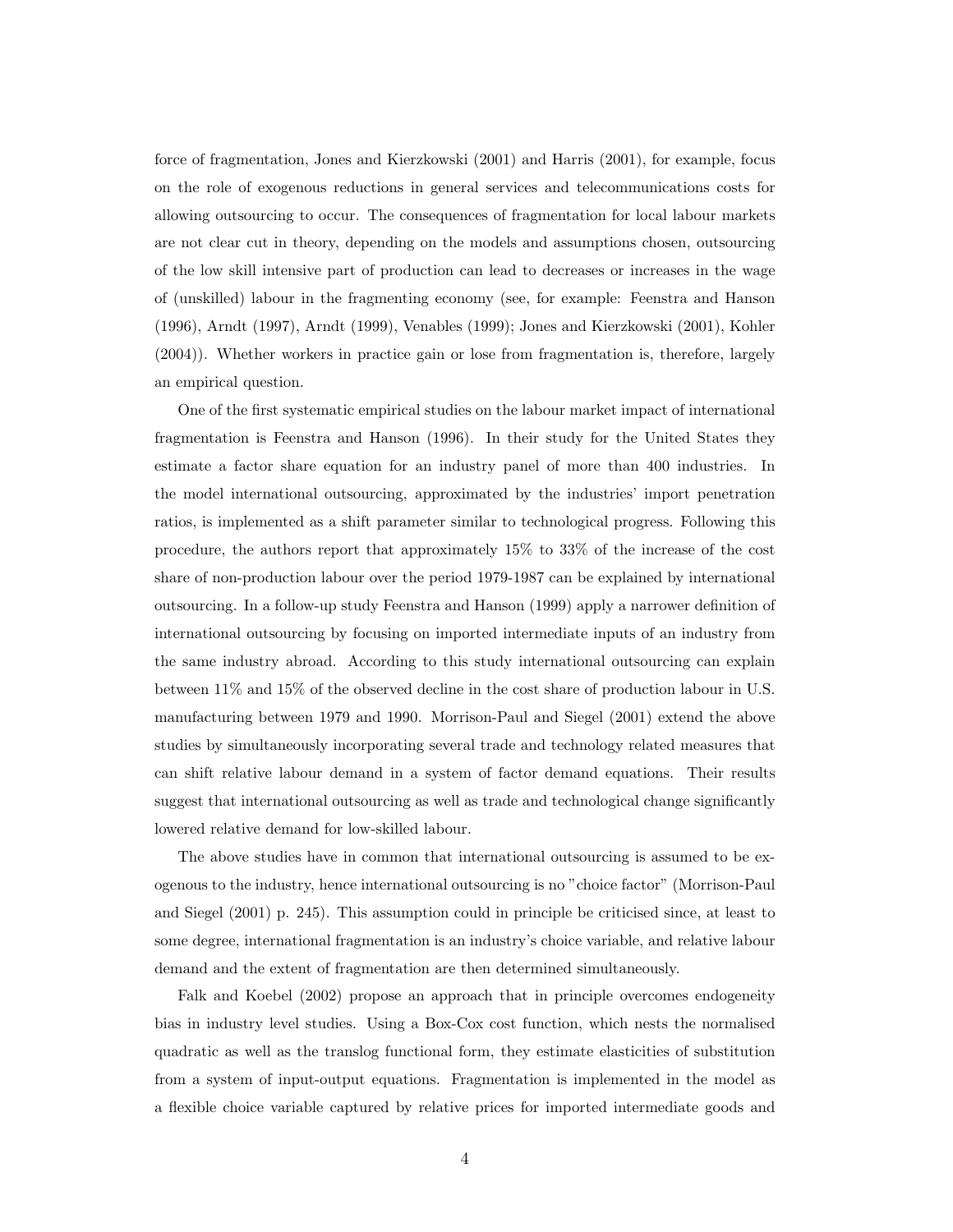force of fragmentation, Jones and Kierzkowski (2001) and Harris (2001), for example, focus on the role of exogenous reductions in general services and telecommunications costs for allowing outsourcing to occur. The consequences of fragmentation for local labour markets are not clear cut in theory, depending on the models and assumptions chosen, outsourcing of the low skill intensive part of production can lead to decreases or increases in the wage of (unskilled) labour in the fragmenting economy (see, for example: Feenstra and Hanson (1996), Arndt (1997), Arndt (1999), Venables (1999); Jones and Kierzkowski (2001), Kohler (2004)). Whether workers in practice gain or lose from fragmentation is, therefore, largely an empirical question.

One of the first systematic empirical studies on the labour market impact of international fragmentation is Feenstra and Hanson (1996). In their study for the United States they estimate a factor share equation for an industry panel of more than 400 industries. In the model international outsourcing, approximated by the industries' import penetration ratios, is implemented as a shift parameter similar to technological progress. Following this procedure, the authors report that approximately 15% to 33% of the increase of the cost share of non-production labour over the period 1979-1987 can be explained by international outsourcing. In a follow-up study Feenstra and Hanson (1999) apply a narrower definition of international outsourcing by focusing on imported intermediate inputs of an industry from the same industry abroad. According to this study international outsourcing can explain between 11% and 15% of the observed decline in the cost share of production labour in U.S. manufacturing between 1979 and 1990. Morrison-Paul and Siegel (2001) extend the above studies by simultaneously incorporating several trade and technology related measures that can shift relative labour demand in a system of factor demand equations. Their results suggest that international outsourcing as well as trade and technological change significantly lowered relative demand for low-skilled labour.

The above studies have in common that international outsourcing is assumed to be exogenous to the industry, hence international outsourcing is no "choice factor" (Morrison-Paul and Siegel (2001) p. 245). This assumption could in principle be criticised since, at least to some degree, international fragmentation is an industry's choice variable, and relative labour demand and the extent of fragmentation are then determined simultaneously.

Falk and Koebel (2002) propose an approach that in principle overcomes endogeneity bias in industry level studies. Using a Box-Cox cost function, which nests the normalised quadratic as well as the translog functional form, they estimate elasticities of substitution from a system of input-output equations. Fragmentation is implemented in the model as a flexible choice variable captured by relative prices for imported intermediate goods and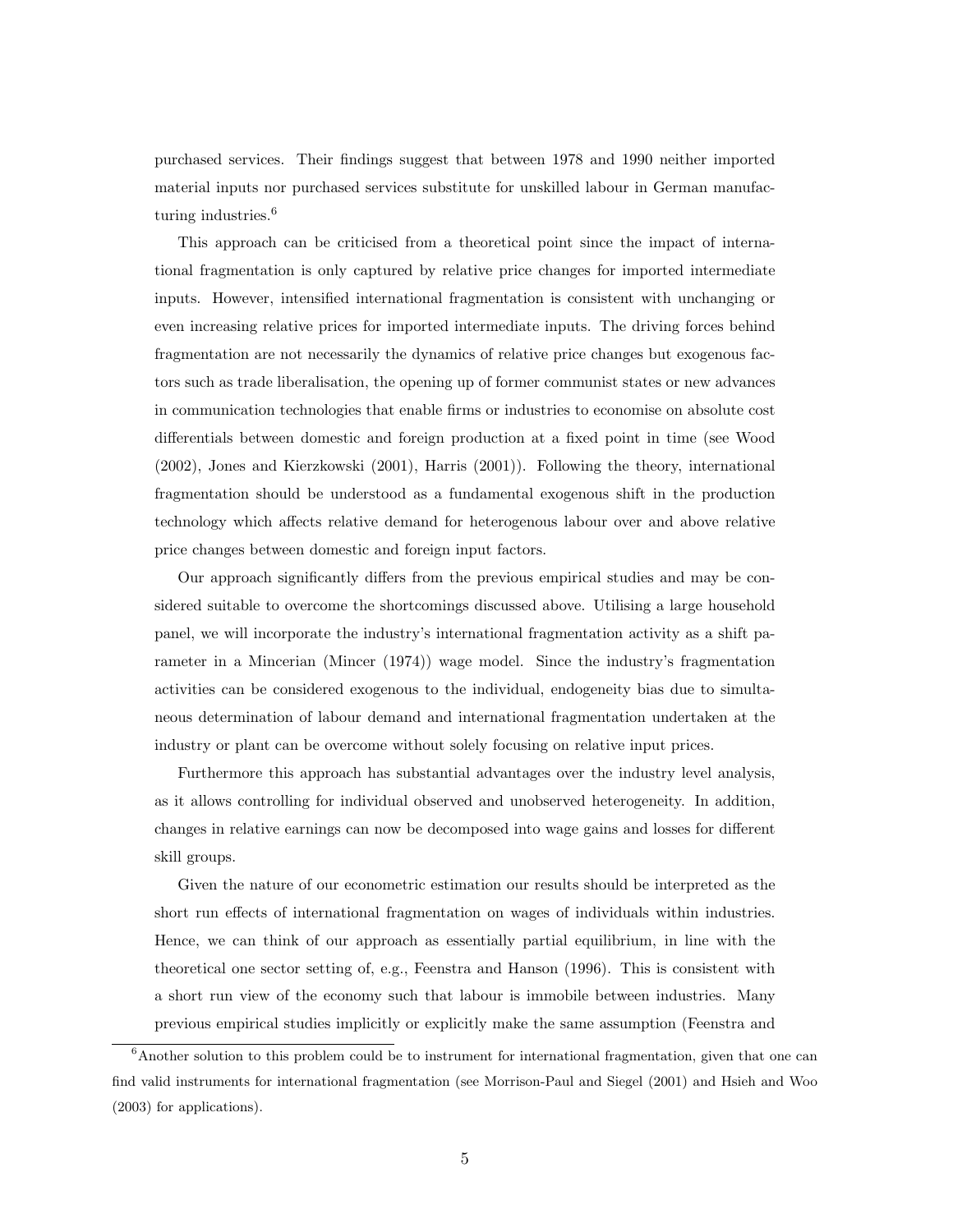purchased services. Their findings suggest that between 1978 and 1990 neither imported material inputs nor purchased services substitute for unskilled labour in German manufacturing industries.<sup>6</sup>

This approach can be criticised from a theoretical point since the impact of international fragmentation is only captured by relative price changes for imported intermediate inputs. However, intensified international fragmentation is consistent with unchanging or even increasing relative prices for imported intermediate inputs. The driving forces behind fragmentation are not necessarily the dynamics of relative price changes but exogenous factors such as trade liberalisation, the opening up of former communist states or new advances in communication technologies that enable firms or industries to economise on absolute cost differentials between domestic and foreign production at a fixed point in time (see Wood (2002), Jones and Kierzkowski (2001), Harris (2001)). Following the theory, international fragmentation should be understood as a fundamental exogenous shift in the production technology which affects relative demand for heterogenous labour over and above relative price changes between domestic and foreign input factors.

Our approach significantly differs from the previous empirical studies and may be considered suitable to overcome the shortcomings discussed above. Utilising a large household panel, we will incorporate the industry's international fragmentation activity as a shift parameter in a Mincerian (Mincer (1974)) wage model. Since the industry's fragmentation activities can be considered exogenous to the individual, endogeneity bias due to simultaneous determination of labour demand and international fragmentation undertaken at the industry or plant can be overcome without solely focusing on relative input prices.

Furthermore this approach has substantial advantages over the industry level analysis, as it allows controlling for individual observed and unobserved heterogeneity. In addition, changes in relative earnings can now be decomposed into wage gains and losses for different skill groups.

Given the nature of our econometric estimation our results should be interpreted as the short run effects of international fragmentation on wages of individuals within industries. Hence, we can think of our approach as essentially partial equilibrium, in line with the theoretical one sector setting of, e.g., Feenstra and Hanson (1996). This is consistent with a short run view of the economy such that labour is immobile between industries. Many previous empirical studies implicitly or explicitly make the same assumption (Feenstra and

 $6$ Another solution to this problem could be to instrument for international fragmentation, given that one can find valid instruments for international fragmentation (see Morrison-Paul and Siegel (2001) and Hsieh and Woo (2003) for applications).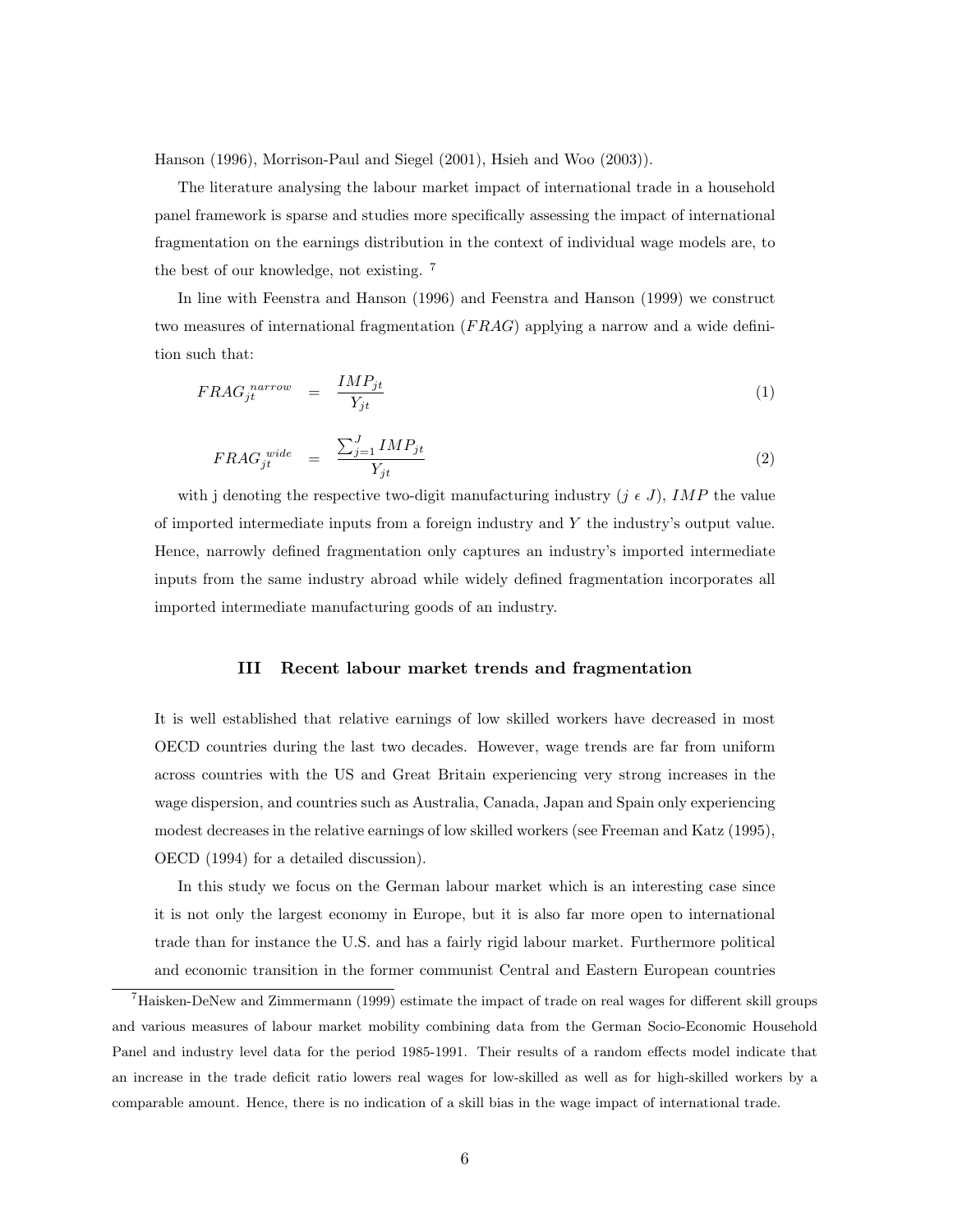Hanson (1996), Morrison-Paul and Siegel (2001), Hsieh and Woo (2003)).

The literature analysing the labour market impact of international trade in a household panel framework is sparse and studies more specifically assessing the impact of international fragmentation on the earnings distribution in the context of individual wage models are, to the best of our knowledge, not existing. <sup>7</sup>

In line with Feenstra and Hanson (1996) and Feenstra and Hanson (1999) we construct two measures of international fragmentation  $(FRAG)$  applying a narrow and a wide definition such that:

$$
FRAG_{jt}^{narrow} = \frac{IMP_{jt}}{Y_{jt}} \tag{1}
$$

$$
FRAG_{jt}^{wide} = \frac{\sum_{j=1}^{J} IMP_{jt}}{Y_{jt}} \tag{2}
$$

with j denoting the respective two-digit manufacturing industry  $(j \in J)$ , IMP the value of imported intermediate inputs from a foreign industry and Y the industry's output value. Hence, narrowly defined fragmentation only captures an industry's imported intermediate inputs from the same industry abroad while widely defined fragmentation incorporates all imported intermediate manufacturing goods of an industry.

#### III Recent labour market trends and fragmentation

It is well established that relative earnings of low skilled workers have decreased in most OECD countries during the last two decades. However, wage trends are far from uniform across countries with the US and Great Britain experiencing very strong increases in the wage dispersion, and countries such as Australia, Canada, Japan and Spain only experiencing modest decreases in the relative earnings of low skilled workers (see Freeman and Katz (1995), OECD (1994) for a detailed discussion).

In this study we focus on the German labour market which is an interesting case since it is not only the largest economy in Europe, but it is also far more open to international trade than for instance the U.S. and has a fairly rigid labour market. Furthermore political and economic transition in the former communist Central and Eastern European countries

 $<sup>7</sup>$ Haisken-DeNew and Zimmermann (1999) estimate the impact of trade on real wages for different skill groups</sup> and various measures of labour market mobility combining data from the German Socio-Economic Household Panel and industry level data for the period 1985-1991. Their results of a random effects model indicate that an increase in the trade deficit ratio lowers real wages for low-skilled as well as for high-skilled workers by a comparable amount. Hence, there is no indication of a skill bias in the wage impact of international trade.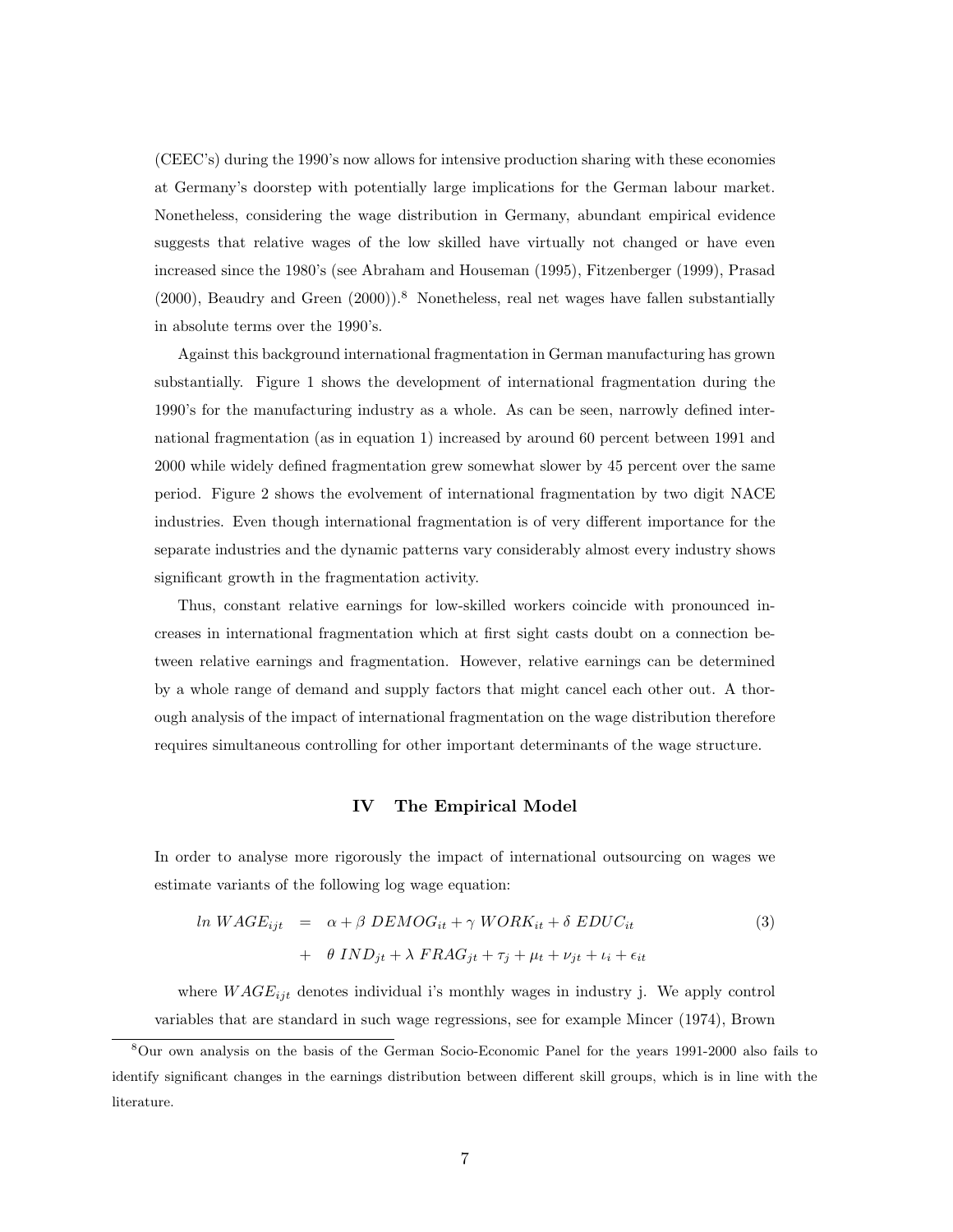(CEEC's) during the 1990's now allows for intensive production sharing with these economies at Germany's doorstep with potentially large implications for the German labour market. Nonetheless, considering the wage distribution in Germany, abundant empirical evidence suggests that relative wages of the low skilled have virtually not changed or have even increased since the 1980's (see Abraham and Houseman (1995), Fitzenberger (1999), Prasad  $(2000)$ , Beaudry and Green  $(2000)$ .<sup>8</sup> Nonetheless, real net wages have fallen substantially in absolute terms over the 1990's.

Against this background international fragmentation in German manufacturing has grown substantially. Figure 1 shows the development of international fragmentation during the 1990's for the manufacturing industry as a whole. As can be seen, narrowly defined international fragmentation (as in equation 1) increased by around 60 percent between 1991 and 2000 while widely defined fragmentation grew somewhat slower by 45 percent over the same period. Figure 2 shows the evolvement of international fragmentation by two digit NACE industries. Even though international fragmentation is of very different importance for the separate industries and the dynamic patterns vary considerably almost every industry shows significant growth in the fragmentation activity.

Thus, constant relative earnings for low-skilled workers coincide with pronounced increases in international fragmentation which at first sight casts doubt on a connection between relative earnings and fragmentation. However, relative earnings can be determined by a whole range of demand and supply factors that might cancel each other out. A thorough analysis of the impact of international fragmentation on the wage distribution therefore requires simultaneous controlling for other important determinants of the wage structure.

#### IV The Empirical Model

In order to analyse more rigorously the impact of international outsourcing on wages we estimate variants of the following log wage equation:

$$
ln WAGE_{ijt} = \alpha + \beta DEMOG_{it} + \gamma WORK_{it} + \delta EDUC_{it}
$$
  
+ 
$$
\theta IND_{jt} + \lambda FRAG_{jt} + \tau_j + \mu_t + \nu_{jt} + \iota_i + \epsilon_{it}
$$
 (3)

where  $WAGE_{ijt}$  denotes individual i's monthly wages in industry j. We apply control variables that are standard in such wage regressions, see for example Mincer (1974), Brown

<sup>8</sup>Our own analysis on the basis of the German Socio-Economic Panel for the years 1991-2000 also fails to identify significant changes in the earnings distribution between different skill groups, which is in line with the literature.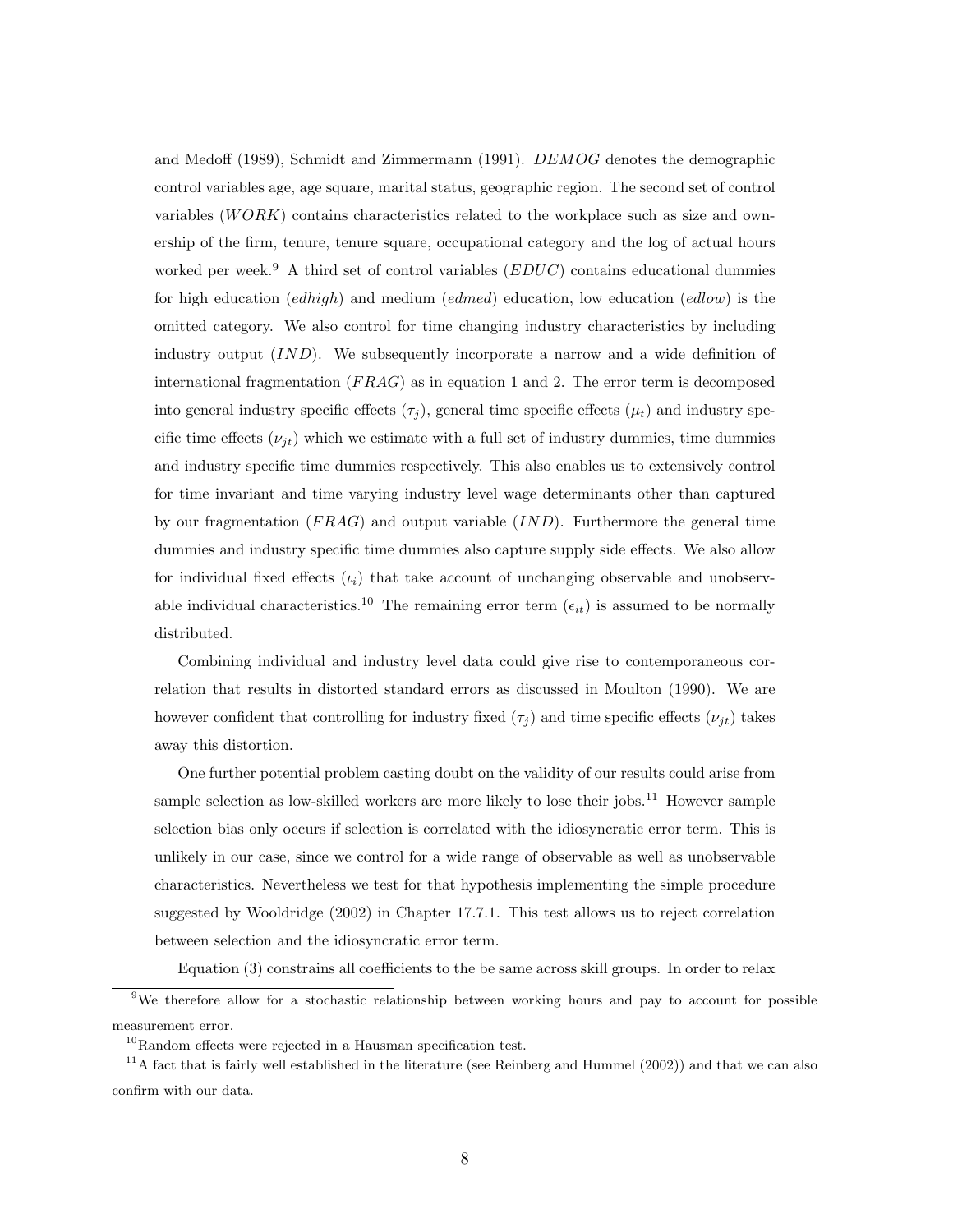and Medoff (1989), Schmidt and Zimmermann (1991). DEMOG denotes the demographic control variables age, age square, marital status, geographic region. The second set of control variables  $(WORK)$  contains characteristics related to the workplace such as size and ownership of the firm, tenure, tenure square, occupational category and the log of actual hours worked per week.<sup>9</sup> A third set of control variables  $(EDUC)$  contains educational dummies for high education  $(edhigh)$  and medium  $(edmed)$  education, low education  $(edlow)$  is the omitted category. We also control for time changing industry characteristics by including industry output (IND). We subsequently incorporate a narrow and a wide definition of international fragmentation  $(FRAG)$  as in equation 1 and 2. The error term is decomposed into general industry specific effects  $(\tau_j)$ , general time specific effects  $(\mu_t)$  and industry specific time effects  $(\nu_{it})$  which we estimate with a full set of industry dummies, time dummies and industry specific time dummies respectively. This also enables us to extensively control for time invariant and time varying industry level wage determinants other than captured by our fragmentation  $(FRAG)$  and output variable  $(IND)$ . Furthermore the general time dummies and industry specific time dummies also capture supply side effects. We also allow for individual fixed effects  $(\iota_i)$  that take account of unchanging observable and unobservable individual characteristics.<sup>10</sup> The remaining error term  $(\epsilon_{it})$  is assumed to be normally distributed.

Combining individual and industry level data could give rise to contemporaneous correlation that results in distorted standard errors as discussed in Moulton (1990). We are however confident that controlling for industry fixed  $(\tau_i)$  and time specific effects  $(\nu_{it})$  takes away this distortion.

One further potential problem casting doubt on the validity of our results could arise from sample selection as low-skilled workers are more likely to lose their jobs.<sup>11</sup> However sample selection bias only occurs if selection is correlated with the idiosyncratic error term. This is unlikely in our case, since we control for a wide range of observable as well as unobservable characteristics. Nevertheless we test for that hypothesis implementing the simple procedure suggested by Wooldridge (2002) in Chapter 17.7.1. This test allows us to reject correlation between selection and the idiosyncratic error term.

Equation (3) constrains all coefficients to the be same across skill groups. In order to relax

<sup>&</sup>lt;sup>9</sup>We therefore allow for a stochastic relationship between working hours and pay to account for possible measurement error.

 $10R$ andom effects were rejected in a Hausman specification test.

 $11$ A fact that is fairly well established in the literature (see Reinberg and Hummel (2002)) and that we can also confirm with our data.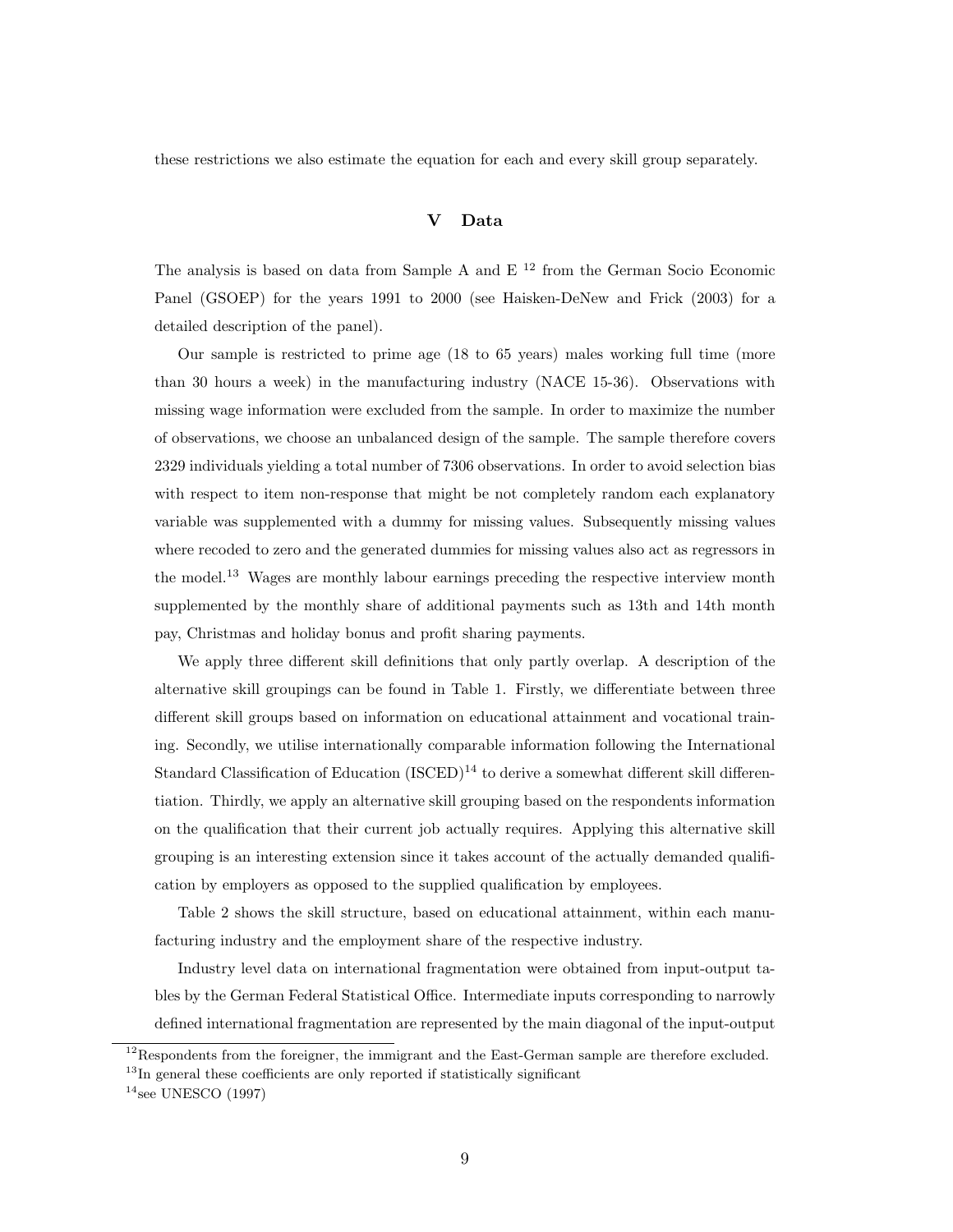these restrictions we also estimate the equation for each and every skill group separately.

#### V Data

The analysis is based on data from Sample A and E<sup>12</sup> from the German Socio Economic Panel (GSOEP) for the years 1991 to 2000 (see Haisken-DeNew and Frick (2003) for a detailed description of the panel).

Our sample is restricted to prime age (18 to 65 years) males working full time (more than 30 hours a week) in the manufacturing industry (NACE 15-36). Observations with missing wage information were excluded from the sample. In order to maximize the number of observations, we choose an unbalanced design of the sample. The sample therefore covers 2329 individuals yielding a total number of 7306 observations. In order to avoid selection bias with respect to item non-response that might be not completely random each explanatory variable was supplemented with a dummy for missing values. Subsequently missing values where recoded to zero and the generated dummies for missing values also act as regressors in the model.<sup>13</sup> Wages are monthly labour earnings preceding the respective interview month supplemented by the monthly share of additional payments such as 13th and 14th month pay, Christmas and holiday bonus and profit sharing payments.

We apply three different skill definitions that only partly overlap. A description of the alternative skill groupings can be found in Table 1. Firstly, we differentiate between three different skill groups based on information on educational attainment and vocational training. Secondly, we utilise internationally comparable information following the International Standard Classification of Education  $(ISCED)^{14}$  to derive a somewhat different skill differentiation. Thirdly, we apply an alternative skill grouping based on the respondents information on the qualification that their current job actually requires. Applying this alternative skill grouping is an interesting extension since it takes account of the actually demanded qualification by employers as opposed to the supplied qualification by employees.

Table 2 shows the skill structure, based on educational attainment, within each manufacturing industry and the employment share of the respective industry.

Industry level data on international fragmentation were obtained from input-output tables by the German Federal Statistical Office. Intermediate inputs corresponding to narrowly defined international fragmentation are represented by the main diagonal of the input-output

<sup>&</sup>lt;sup>12</sup>Respondents from the foreigner, the immigrant and the East-German sample are therefore excluded.

 $13$ In general these coefficients are only reported if statistically significant

 $14$ see UNESCO (1997)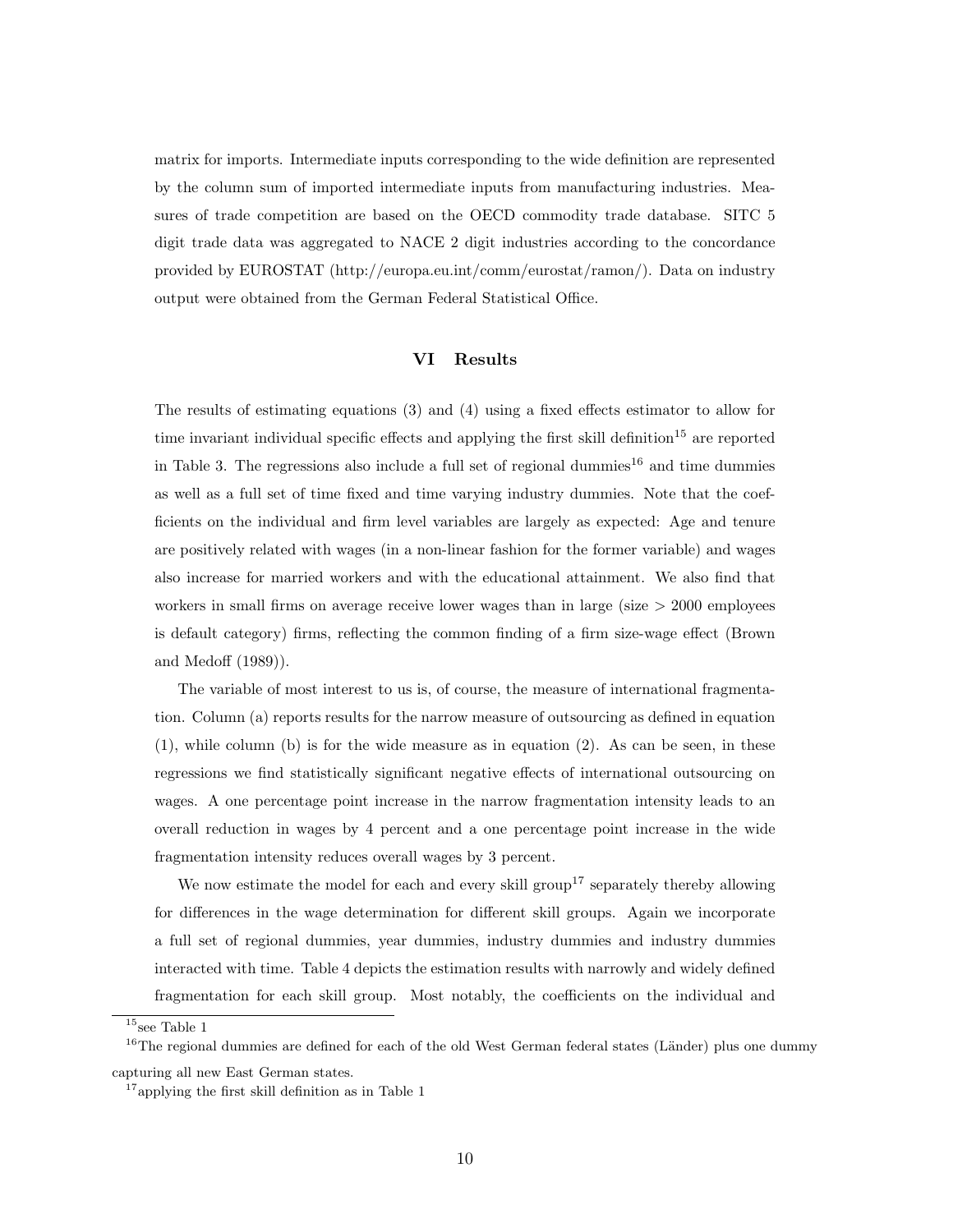matrix for imports. Intermediate inputs corresponding to the wide definition are represented by the column sum of imported intermediate inputs from manufacturing industries. Measures of trade competition are based on the OECD commodity trade database. SITC 5 digit trade data was aggregated to NACE 2 digit industries according to the concordance provided by EUROSTAT (http://europa.eu.int/comm/eurostat/ramon/). Data on industry output were obtained from the German Federal Statistical Office.

#### VI Results

The results of estimating equations (3) and (4) using a fixed effects estimator to allow for time invariant individual specific effects and applying the first skill definition<sup>15</sup> are reported in Table 3. The regressions also include a full set of regional dummies<sup>16</sup> and time dummies as well as a full set of time fixed and time varying industry dummies. Note that the coefficients on the individual and firm level variables are largely as expected: Age and tenure are positively related with wages (in a non-linear fashion for the former variable) and wages also increase for married workers and with the educational attainment. We also find that workers in small firms on average receive lower wages than in large (size  $> 2000$  employees is default category) firms, reflecting the common finding of a firm size-wage effect (Brown and Medoff (1989)).

The variable of most interest to us is, of course, the measure of international fragmentation. Column (a) reports results for the narrow measure of outsourcing as defined in equation  $(1)$ , while column  $(b)$  is for the wide measure as in equation  $(2)$ . As can be seen, in these regressions we find statistically significant negative effects of international outsourcing on wages. A one percentage point increase in the narrow fragmentation intensity leads to an overall reduction in wages by 4 percent and a one percentage point increase in the wide fragmentation intensity reduces overall wages by 3 percent.

We now estimate the model for each and every skill group<sup>17</sup> separately thereby allowing for differences in the wage determination for different skill groups. Again we incorporate a full set of regional dummies, year dummies, industry dummies and industry dummies interacted with time. Table 4 depicts the estimation results with narrowly and widely defined fragmentation for each skill group. Most notably, the coefficients on the individual and

 $15$ see Table 1

<sup>&</sup>lt;sup>16</sup>The regional dummies are defined for each of the old West German federal states (Länder) plus one dummy capturing all new East German states.

 $17$ applying the first skill definition as in Table 1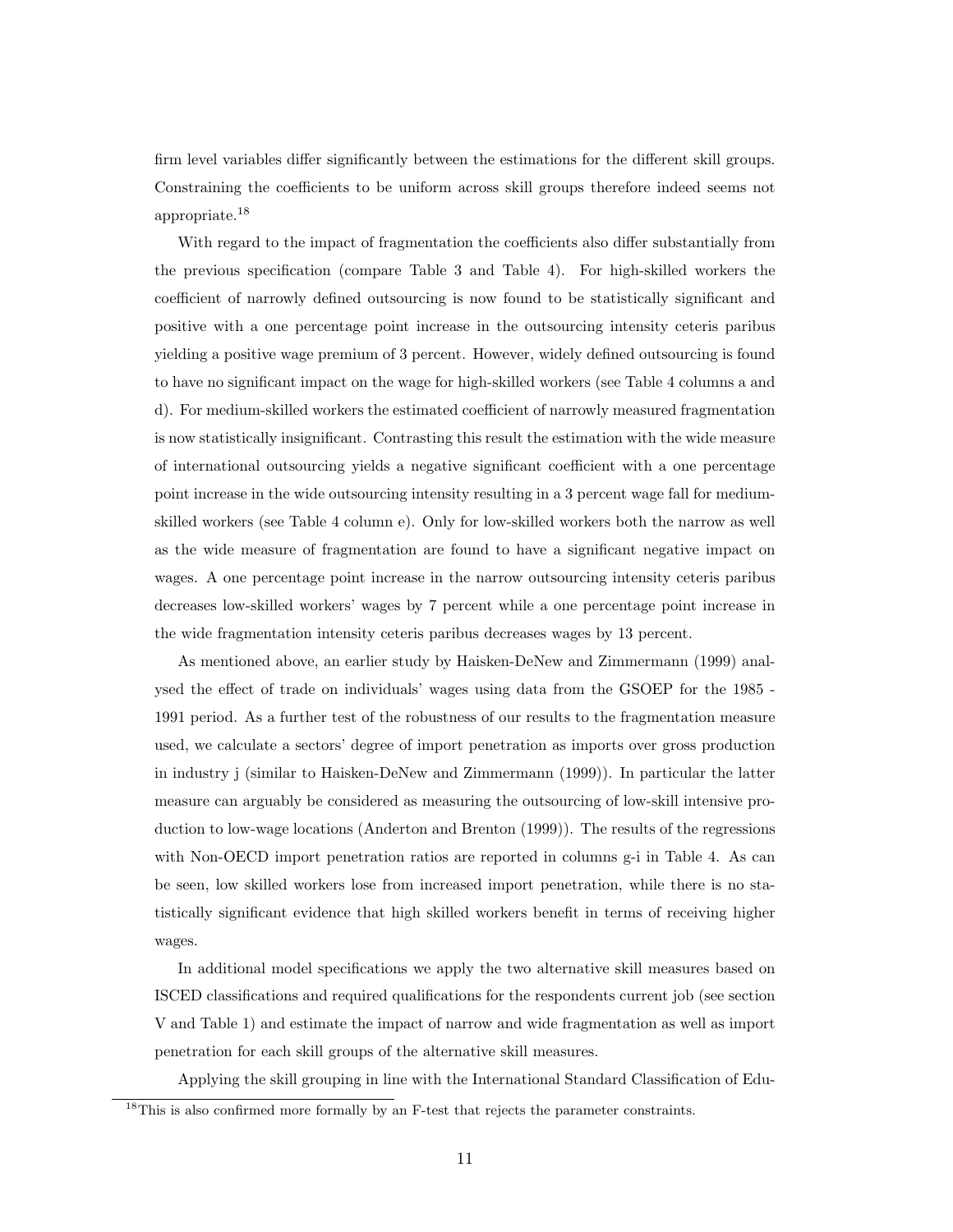firm level variables differ significantly between the estimations for the different skill groups. Constraining the coefficients to be uniform across skill groups therefore indeed seems not appropriate.<sup>18</sup>

With regard to the impact of fragmentation the coefficients also differ substantially from the previous specification (compare Table 3 and Table 4). For high-skilled workers the coefficient of narrowly defined outsourcing is now found to be statistically significant and positive with a one percentage point increase in the outsourcing intensity ceteris paribus yielding a positive wage premium of 3 percent. However, widely defined outsourcing is found to have no significant impact on the wage for high-skilled workers (see Table 4 columns a and d). For medium-skilled workers the estimated coefficient of narrowly measured fragmentation is now statistically insignificant. Contrasting this result the estimation with the wide measure of international outsourcing yields a negative significant coefficient with a one percentage point increase in the wide outsourcing intensity resulting in a 3 percent wage fall for mediumskilled workers (see Table 4 column e). Only for low-skilled workers both the narrow as well as the wide measure of fragmentation are found to have a significant negative impact on wages. A one percentage point increase in the narrow outsourcing intensity ceteris paribus decreases low-skilled workers' wages by 7 percent while a one percentage point increase in the wide fragmentation intensity ceteris paribus decreases wages by 13 percent.

As mentioned above, an earlier study by Haisken-DeNew and Zimmermann (1999) analysed the effect of trade on individuals' wages using data from the GSOEP for the 1985 - 1991 period. As a further test of the robustness of our results to the fragmentation measure used, we calculate a sectors' degree of import penetration as imports over gross production in industry j (similar to Haisken-DeNew and Zimmermann (1999)). In particular the latter measure can arguably be considered as measuring the outsourcing of low-skill intensive production to low-wage locations (Anderton and Brenton (1999)). The results of the regressions with Non-OECD import penetration ratios are reported in columns g-i in Table 4. As can be seen, low skilled workers lose from increased import penetration, while there is no statistically significant evidence that high skilled workers benefit in terms of receiving higher wages.

In additional model specifications we apply the two alternative skill measures based on ISCED classifications and required qualifications for the respondents current job (see section V and Table 1) and estimate the impact of narrow and wide fragmentation as well as import penetration for each skill groups of the alternative skill measures.

Applying the skill grouping in line with the International Standard Classification of Edu-

 $^{18}$ This is also confirmed more formally by an F-test that rejects the parameter constraints.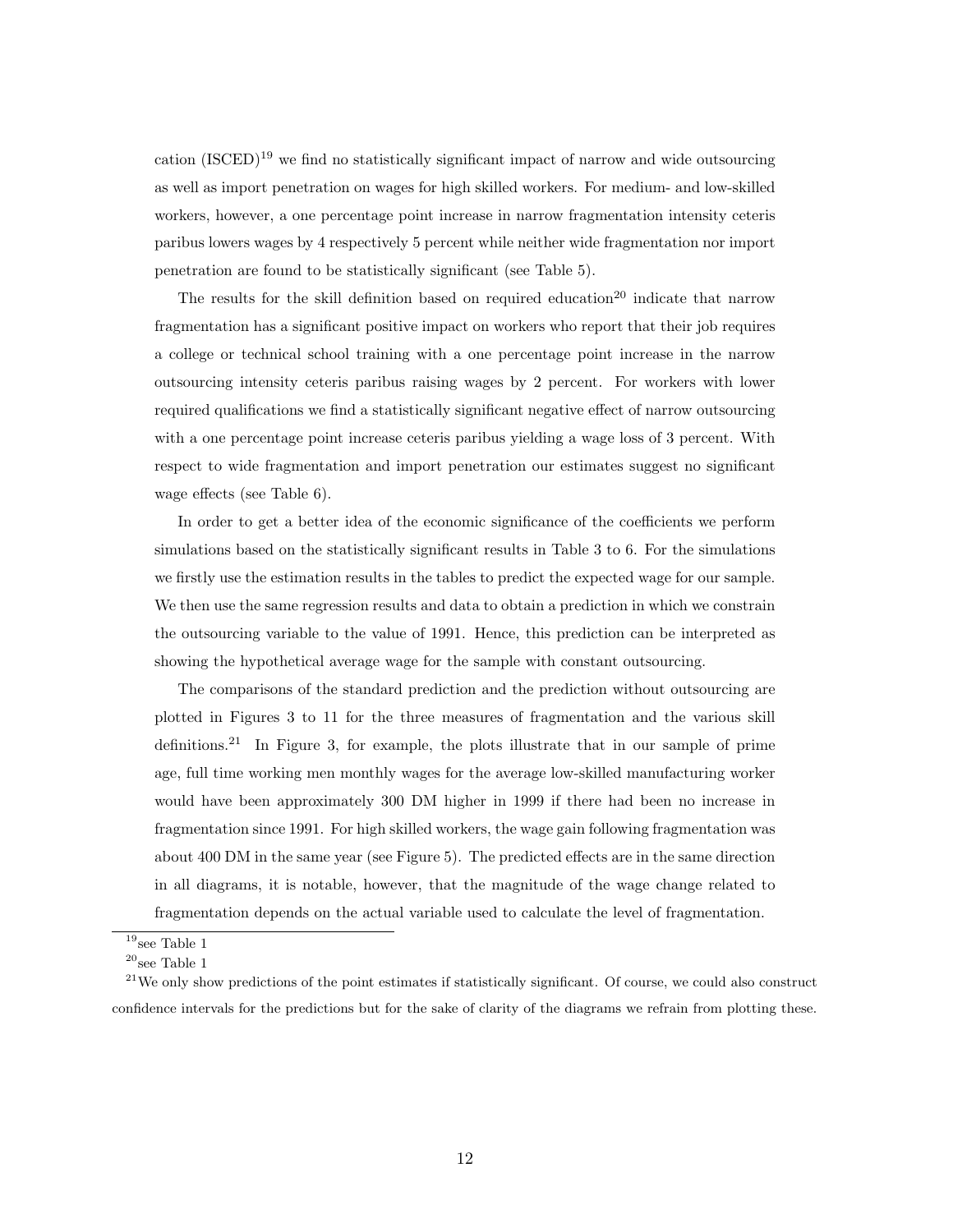cation  $(ISCED)^{19}$  we find no statistically significant impact of narrow and wide outsourcing as well as import penetration on wages for high skilled workers. For medium- and low-skilled workers, however, a one percentage point increase in narrow fragmentation intensity ceteris paribus lowers wages by 4 respectively 5 percent while neither wide fragmentation nor import penetration are found to be statistically significant (see Table 5).

The results for the skill definition based on required education<sup>20</sup> indicate that narrow fragmentation has a significant positive impact on workers who report that their job requires a college or technical school training with a one percentage point increase in the narrow outsourcing intensity ceteris paribus raising wages by 2 percent. For workers with lower required qualifications we find a statistically significant negative effect of narrow outsourcing with a one percentage point increase ceteris paribus yielding a wage loss of 3 percent. With respect to wide fragmentation and import penetration our estimates suggest no significant wage effects (see Table 6).

In order to get a better idea of the economic significance of the coefficients we perform simulations based on the statistically significant results in Table 3 to 6. For the simulations we firstly use the estimation results in the tables to predict the expected wage for our sample. We then use the same regression results and data to obtain a prediction in which we constrain the outsourcing variable to the value of 1991. Hence, this prediction can be interpreted as showing the hypothetical average wage for the sample with constant outsourcing.

The comparisons of the standard prediction and the prediction without outsourcing are plotted in Figures 3 to 11 for the three measures of fragmentation and the various skill definitions.<sup>21</sup> In Figure 3, for example, the plots illustrate that in our sample of prime age, full time working men monthly wages for the average low-skilled manufacturing worker would have been approximately 300 DM higher in 1999 if there had been no increase in fragmentation since 1991. For high skilled workers, the wage gain following fragmentation was about 400 DM in the same year (see Figure 5). The predicted effects are in the same direction in all diagrams, it is notable, however, that the magnitude of the wage change related to fragmentation depends on the actual variable used to calculate the level of fragmentation.

 $^{19}\rm{see}$  Table 1

 $20$ see Table 1

 $21$ We only show predictions of the point estimates if statistically significant. Of course, we could also construct confidence intervals for the predictions but for the sake of clarity of the diagrams we refrain from plotting these.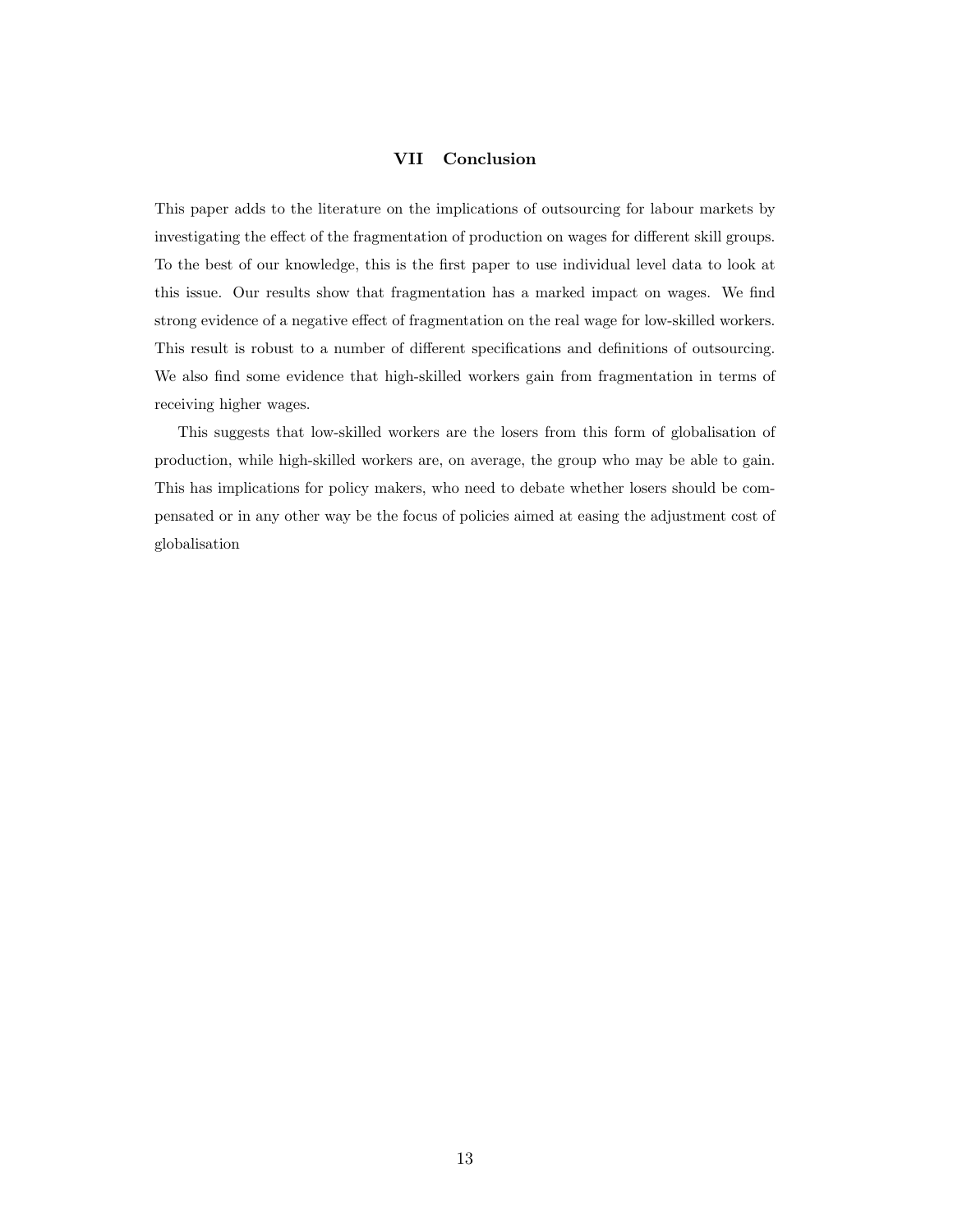#### VII Conclusion

This paper adds to the literature on the implications of outsourcing for labour markets by investigating the effect of the fragmentation of production on wages for different skill groups. To the best of our knowledge, this is the first paper to use individual level data to look at this issue. Our results show that fragmentation has a marked impact on wages. We find strong evidence of a negative effect of fragmentation on the real wage for low-skilled workers. This result is robust to a number of different specifications and definitions of outsourcing. We also find some evidence that high-skilled workers gain from fragmentation in terms of receiving higher wages.

This suggests that low-skilled workers are the losers from this form of globalisation of production, while high-skilled workers are, on average, the group who may be able to gain. This has implications for policy makers, who need to debate whether losers should be compensated or in any other way be the focus of policies aimed at easing the adjustment cost of globalisation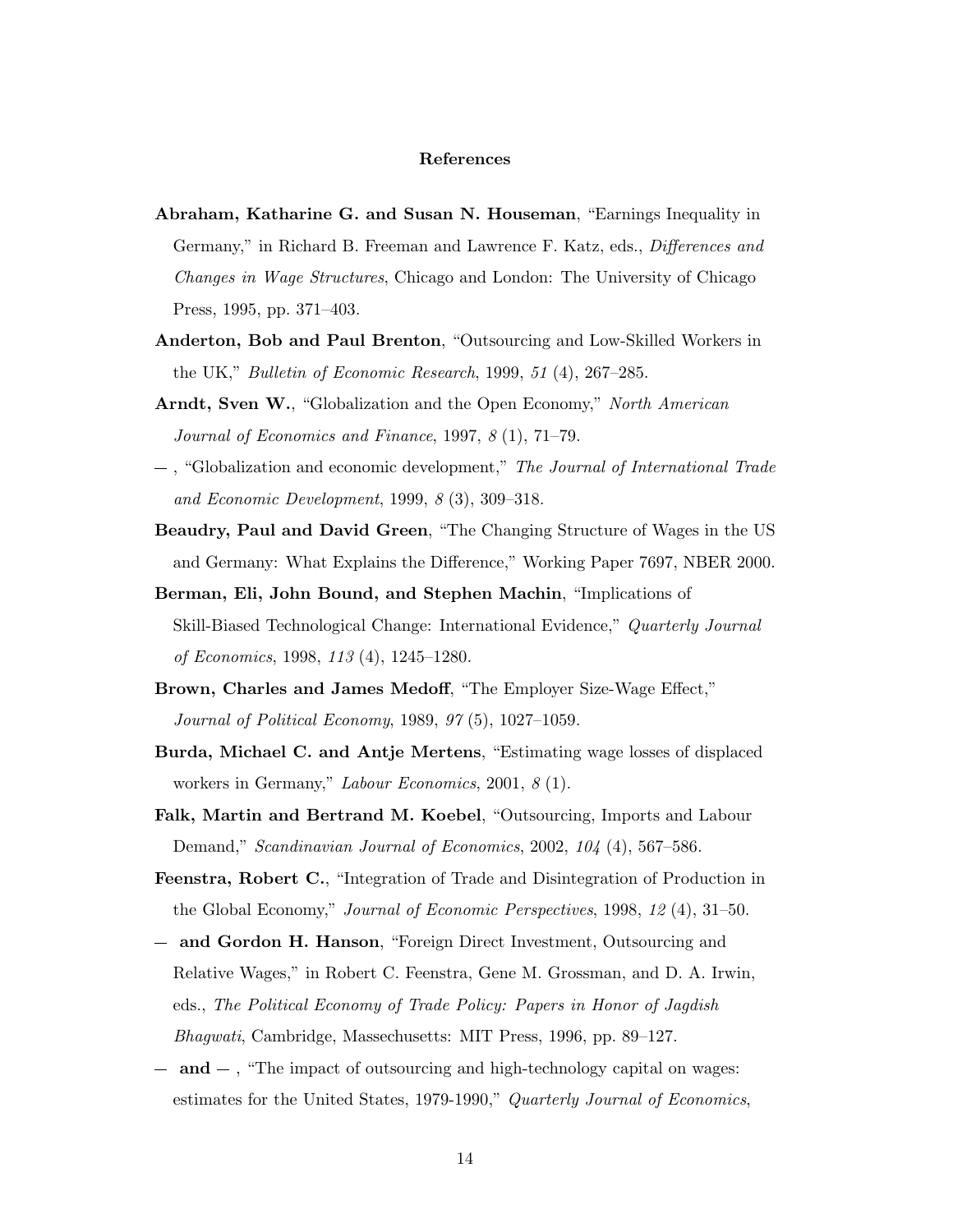#### References

- Abraham, Katharine G. and Susan N. Houseman, "Earnings Inequality in Germany," in Richard B. Freeman and Lawrence F. Katz, eds., Differences and Changes in Wage Structures, Chicago and London: The University of Chicago Press, 1995, pp. 371–403.
- Anderton, Bob and Paul Brenton, "Outsourcing and Low-Skilled Workers in the UK," *Bulletin of Economic Research*, 1999, 51 $(4)$ , 267–285.
- Arndt, Sven W., "Globalization and the Open Economy," North American Journal of Economics and Finance, 1997, 8 (1), 71–79.
- , "Globalization and economic development," The Journal of International Trade and Economic Development, 1999, 8 (3), 309–318.
- Beaudry, Paul and David Green, "The Changing Structure of Wages in the US and Germany: What Explains the Difference," Working Paper 7697, NBER 2000.
- Berman, Eli, John Bound, and Stephen Machin, "Implications of Skill-Biased Technological Change: International Evidence," Quarterly Journal of Economics, 1998, 113 (4), 1245–1280.
- Brown, Charles and James Medoff, "The Employer Size-Wage Effect," Journal of Political Economy, 1989, 97 (5), 1027–1059.
- Burda, Michael C. and Antje Mertens, "Estimating wage losses of displaced workers in Germany," Labour Economics, 2001, 8 (1).
- Falk, Martin and Bertrand M. Koebel, "Outsourcing, Imports and Labour Demand," Scandinavian Journal of Economics, 2002, 104 (4), 567-586.
- Feenstra, Robert C., "Integration of Trade and Disintegration of Production in the Global Economy," Journal of Economic Perspectives, 1998, 12 (4), 31–50.
- and Gordon H. Hanson, "Foreign Direct Investment, Outsourcing and Relative Wages," in Robert C. Feenstra, Gene M. Grossman, and D. A. Irwin, eds., The Political Economy of Trade Policy: Papers in Honor of Jagdish Bhagwati, Cambridge, Massechusetts: MIT Press, 1996, pp. 89–127.
- $-$  and  $-$ , "The impact of outsourcing and high-technology capital on wages: estimates for the United States, 1979-1990," Quarterly Journal of Economics,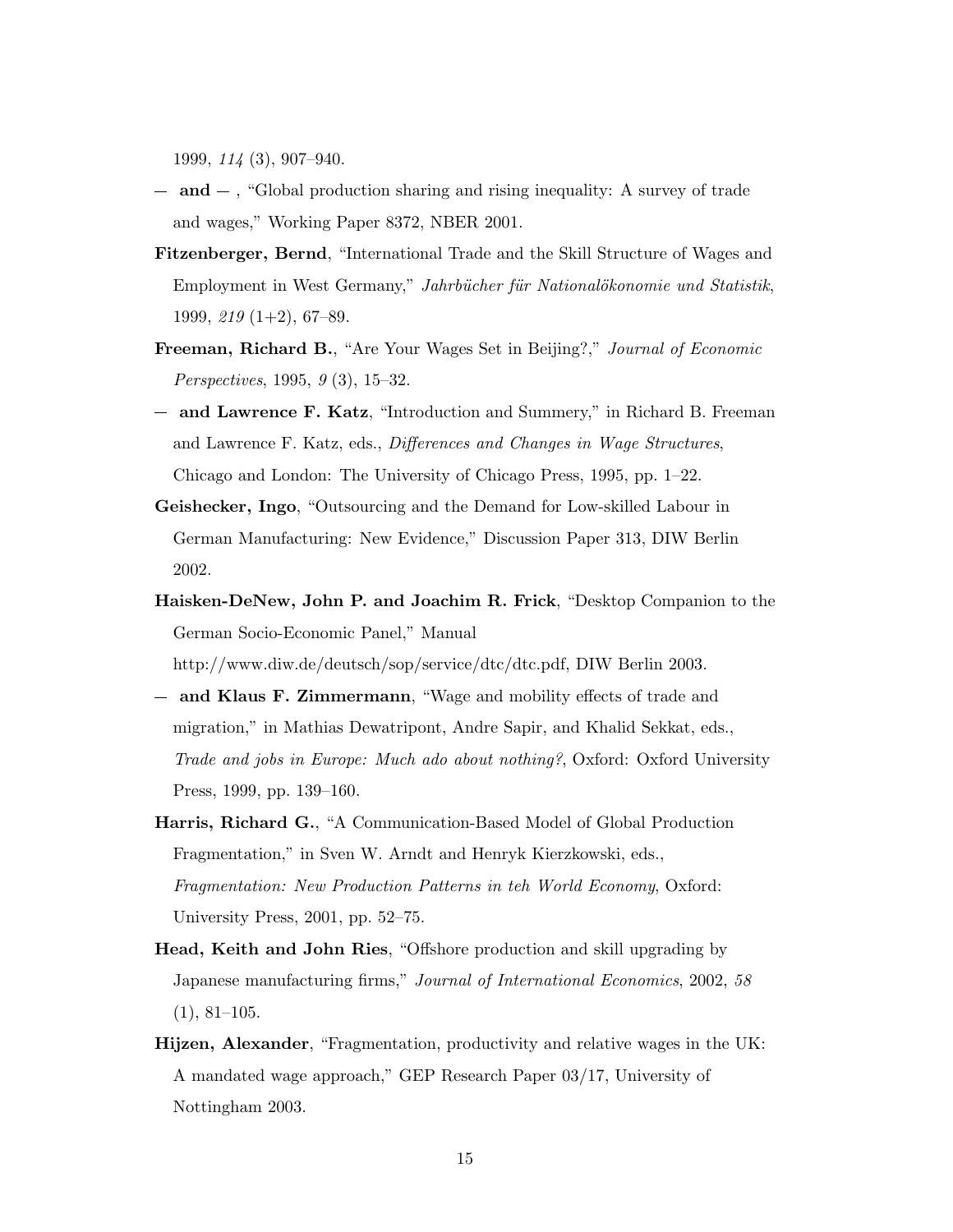1999, 114 (3), 907–940.

- $-$  and  $-$ , "Global production sharing and rising inequality: A survey of trade and wages," Working Paper 8372, NBER 2001.
- Fitzenberger, Bernd, "International Trade and the Skill Structure of Wages and Employment in West Germany," Jahrbücher für Nationalökonomie und Statistik, 1999, 219 (1+2), 67–89.
- Freeman, Richard B., "Are Your Wages Set in Beijing?," Journal of Economic Perspectives, 1995, 9 (3), 15–32.
- and Lawrence F. Katz, "Introduction and Summery," in Richard B. Freeman and Lawrence F. Katz, eds., Differences and Changes in Wage Structures, Chicago and London: The University of Chicago Press, 1995, pp. 1–22.
- Geishecker, Ingo, "Outsourcing and the Demand for Low-skilled Labour in German Manufacturing: New Evidence," Discussion Paper 313, DIW Berlin 2002.
- Haisken-DeNew, John P. and Joachim R. Frick, "Desktop Companion to the German Socio-Economic Panel," Manual

http://www.diw.de/deutsch/sop/service/dtc/dtc.pdf, DIW Berlin 2003.

- and Klaus F. Zimmermann, "Wage and mobility effects of trade and migration," in Mathias Dewatripont, Andre Sapir, and Khalid Sekkat, eds., Trade and jobs in Europe: Much ado about nothing?, Oxford: Oxford University Press, 1999, pp. 139–160.
- Harris, Richard G., "A Communication-Based Model of Global Production Fragmentation," in Sven W. Arndt and Henryk Kierzkowski, eds., Fragmentation: New Production Patterns in teh World Economy, Oxford: University Press, 2001, pp. 52–75.
- Head, Keith and John Ries, "Offshore production and skill upgrading by Japanese manufacturing firms," Journal of International Economics, 2002, 58  $(1), 81-105.$
- Hijzen, Alexander, "Fragmentation, productivity and relative wages in the UK: A mandated wage approach," GEP Research Paper 03/17, University of Nottingham 2003.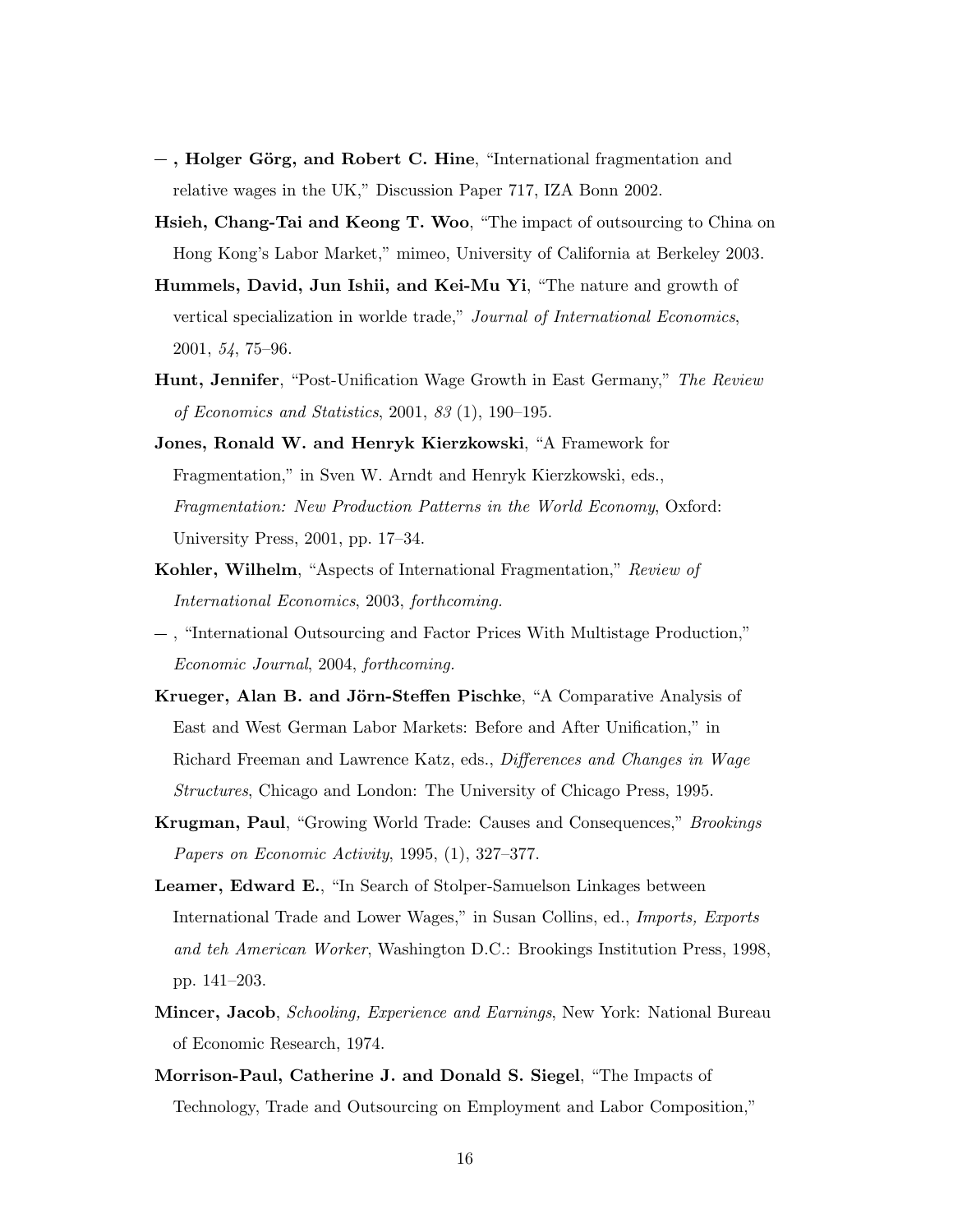- $-$ , Holger Görg, and Robert C. Hine, "International fragmentation and relative wages in the UK," Discussion Paper 717, IZA Bonn 2002.
- Hsieh, Chang-Tai and Keong T. Woo, "The impact of outsourcing to China on Hong Kong's Labor Market," mimeo, University of California at Berkeley 2003.
- Hummels, David, Jun Ishii, and Kei-Mu Yi, "The nature and growth of vertical specialization in worlde trade," Journal of International Economics, 2001, 54, 75–96.
- Hunt, Jennifer, "Post-Unification Wage Growth in East Germany," The Review of Economics and Statistics, 2001, 83 (1), 190–195.
- Jones, Ronald W. and Henryk Kierzkowski, "A Framework for Fragmentation," in Sven W. Arndt and Henryk Kierzkowski, eds., Fragmentation: New Production Patterns in the World Economy, Oxford: University Press, 2001, pp. 17–34.
- Kohler, Wilhelm, "Aspects of International Fragmentation," Review of International Economics, 2003, forthcoming.
- , "International Outsourcing and Factor Prices With Multistage Production," Economic Journal, 2004, forthcoming.
- Krueger, Alan B. and Jörn-Steffen Pischke, "A Comparative Analysis of East and West German Labor Markets: Before and After Unification," in Richard Freeman and Lawrence Katz, eds., Differences and Changes in Wage Structures, Chicago and London: The University of Chicago Press, 1995.
- Krugman, Paul, "Growing World Trade: Causes and Consequences," Brookings Papers on Economic Activity, 1995, (1), 327–377.
- Leamer, Edward E., "In Search of Stolper-Samuelson Linkages between International Trade and Lower Wages," in Susan Collins, ed., Imports, Exports and teh American Worker, Washington D.C.: Brookings Institution Press, 1998, pp. 141–203.
- **Mincer, Jacob**, *Schooling, Experience and Earnings*, New York: National Bureau of Economic Research, 1974.
- Morrison-Paul, Catherine J. and Donald S. Siegel, "The Impacts of Technology, Trade and Outsourcing on Employment and Labor Composition,"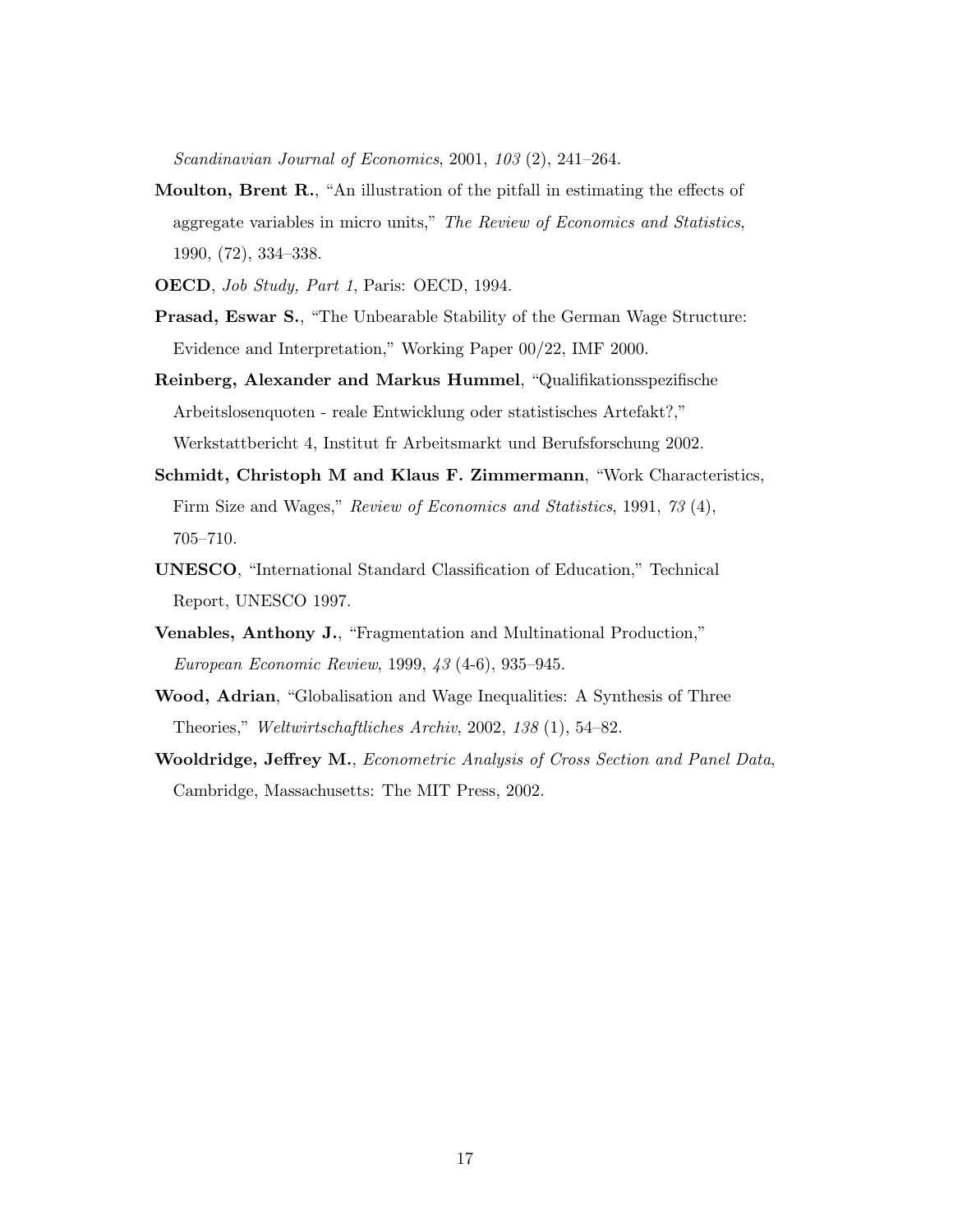Scandinavian Journal of Economics, 2001, 103 (2), 241–264.

- Moulton, Brent R., "An illustration of the pitfall in estimating the effects of aggregate variables in micro units," The Review of Economics and Statistics, 1990, (72), 334–338.
- OECD, Job Study, Part 1, Paris: OECD, 1994.
- Prasad, Eswar S., "The Unbearable Stability of the German Wage Structure: Evidence and Interpretation," Working Paper 00/22, IMF 2000.
- Reinberg, Alexander and Markus Hummel, "Qualifikationsspezifische Arbeitslosenquoten - reale Entwicklung oder statistisches Artefakt?," Werkstattbericht 4, Institut fr Arbeitsmarkt und Berufsforschung 2002.
- Schmidt, Christoph M and Klaus F. Zimmermann, "Work Characteristics, Firm Size and Wages," Review of Economics and Statistics, 1991, 73 (4), 705–710.
- UNESCO, "International Standard Classification of Education," Technical Report, UNESCO 1997.
- Venables, Anthony J., "Fragmentation and Multinational Production," European Economic Review, 1999, 43 (4-6), 935–945.
- Wood, Adrian, "Globalisation and Wage Inequalities: A Synthesis of Three Theories," Weltwirtschaftliches Archiv, 2002, 138 (1), 54–82.
- Wooldridge, Jeffrey M., Econometric Analysis of Cross Section and Panel Data, Cambridge, Massachusetts: The MIT Press, 2002.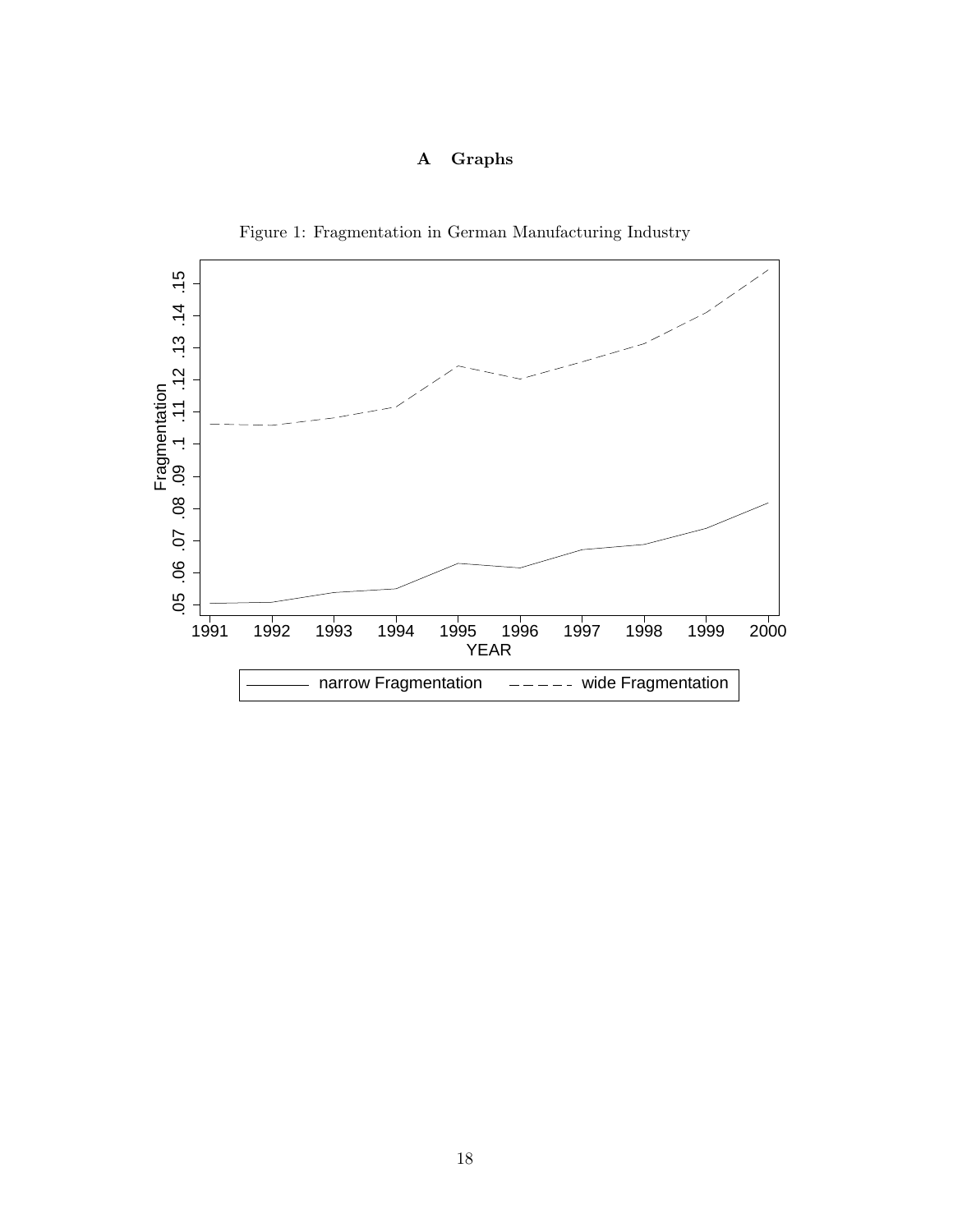### A Graphs

Figure 1: Fragmentation in German Manufacturing Industry

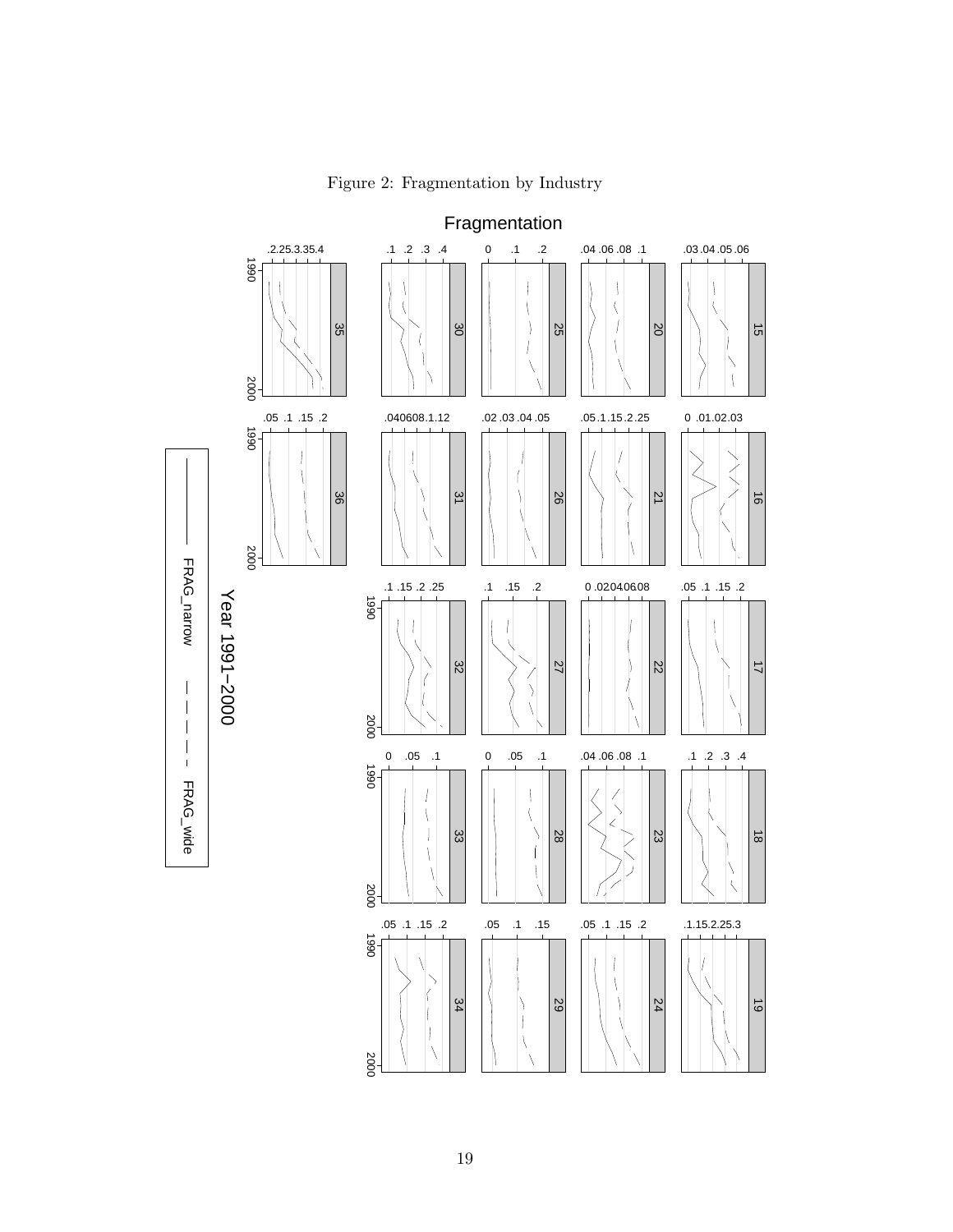

Figure 2: Fragmentation by Industry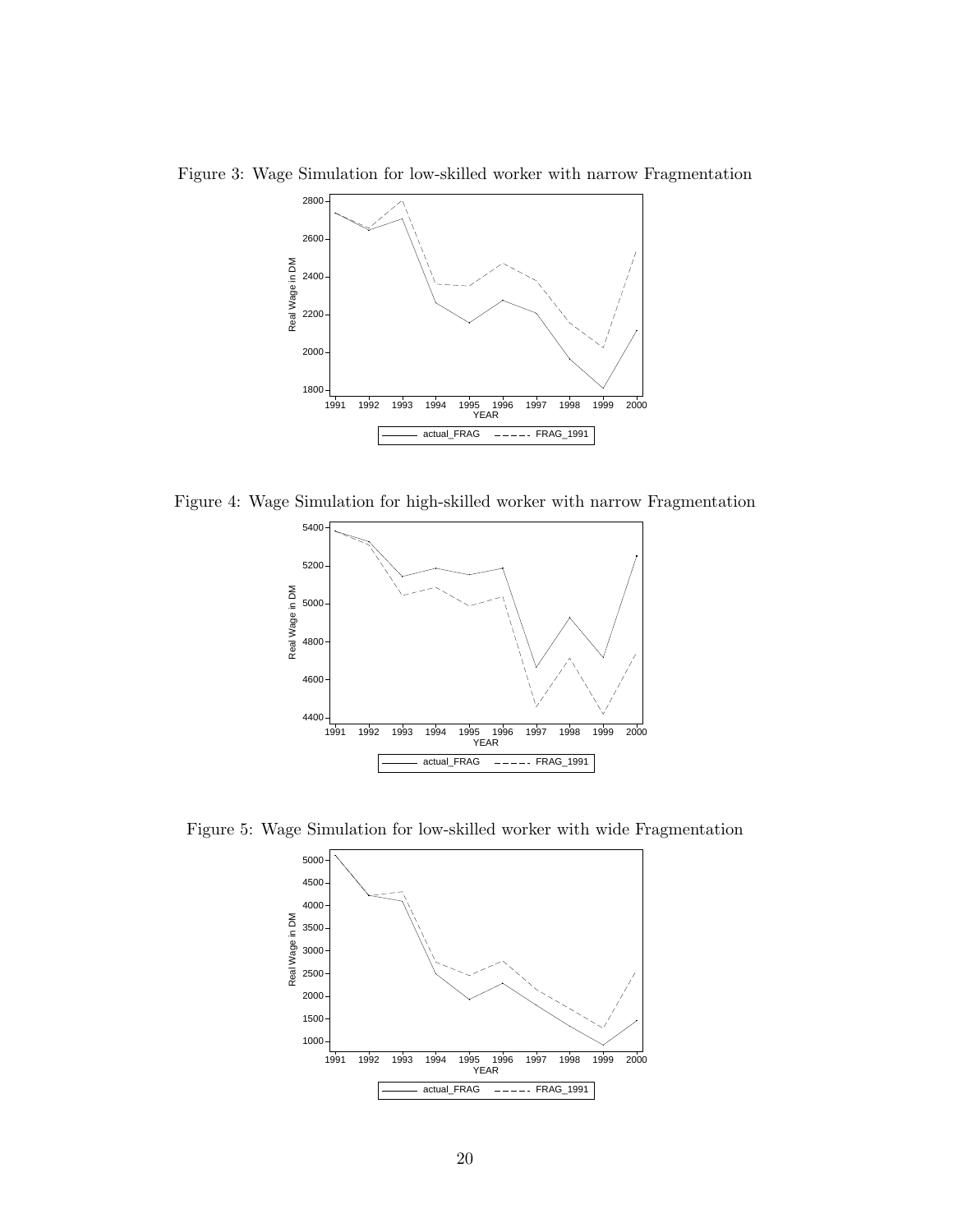

Figure 3: Wage Simulation for low-skilled worker with narrow Fragmentation

Figure 4: Wage Simulation for high-skilled worker with narrow Fragmentation



Figure 5: Wage Simulation for low-skilled worker with wide Fragmentation

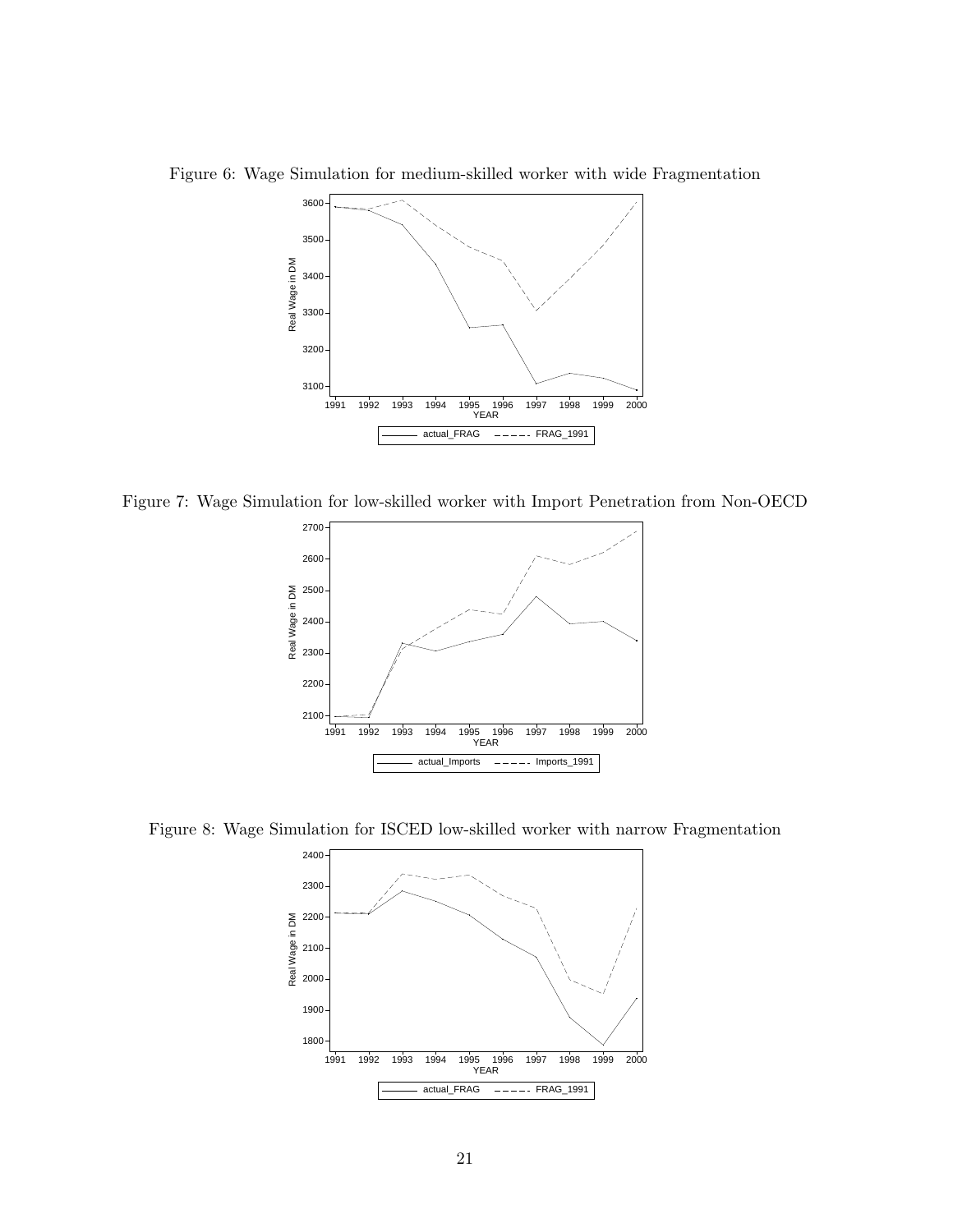

Figure 6: Wage Simulation for medium-skilled worker with wide Fragmentation

Figure 7: Wage Simulation for low-skilled worker with Import Penetration from Non-OECD



Figure 8: Wage Simulation for ISCED low-skilled worker with narrow Fragmentation

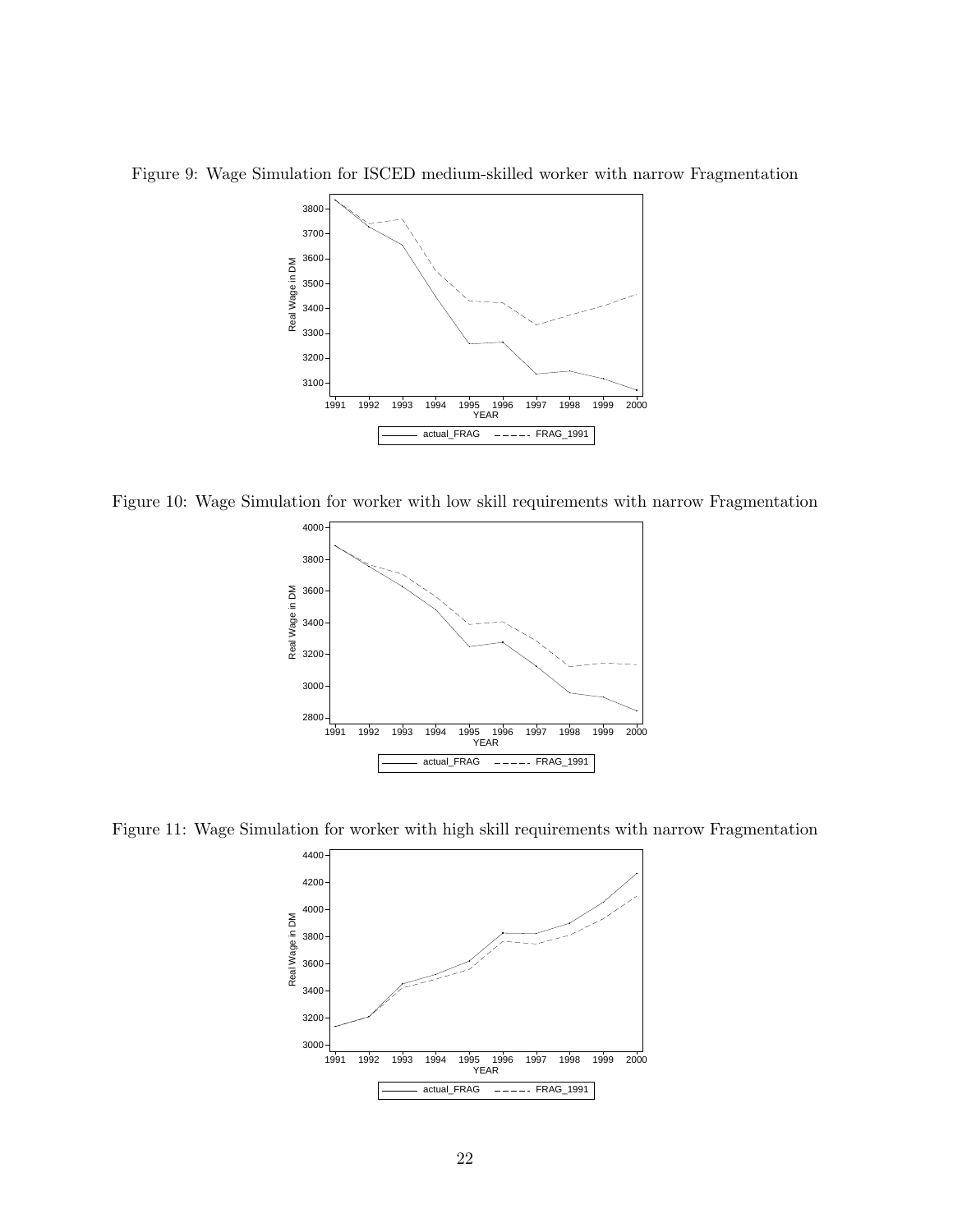

Figure 9: Wage Simulation for ISCED medium-skilled worker with narrow Fragmentation

Figure 10: Wage Simulation for worker with low skill requirements with narrow Fragmentation



Figure 11: Wage Simulation for worker with high skill requirements with narrow Fragmentation

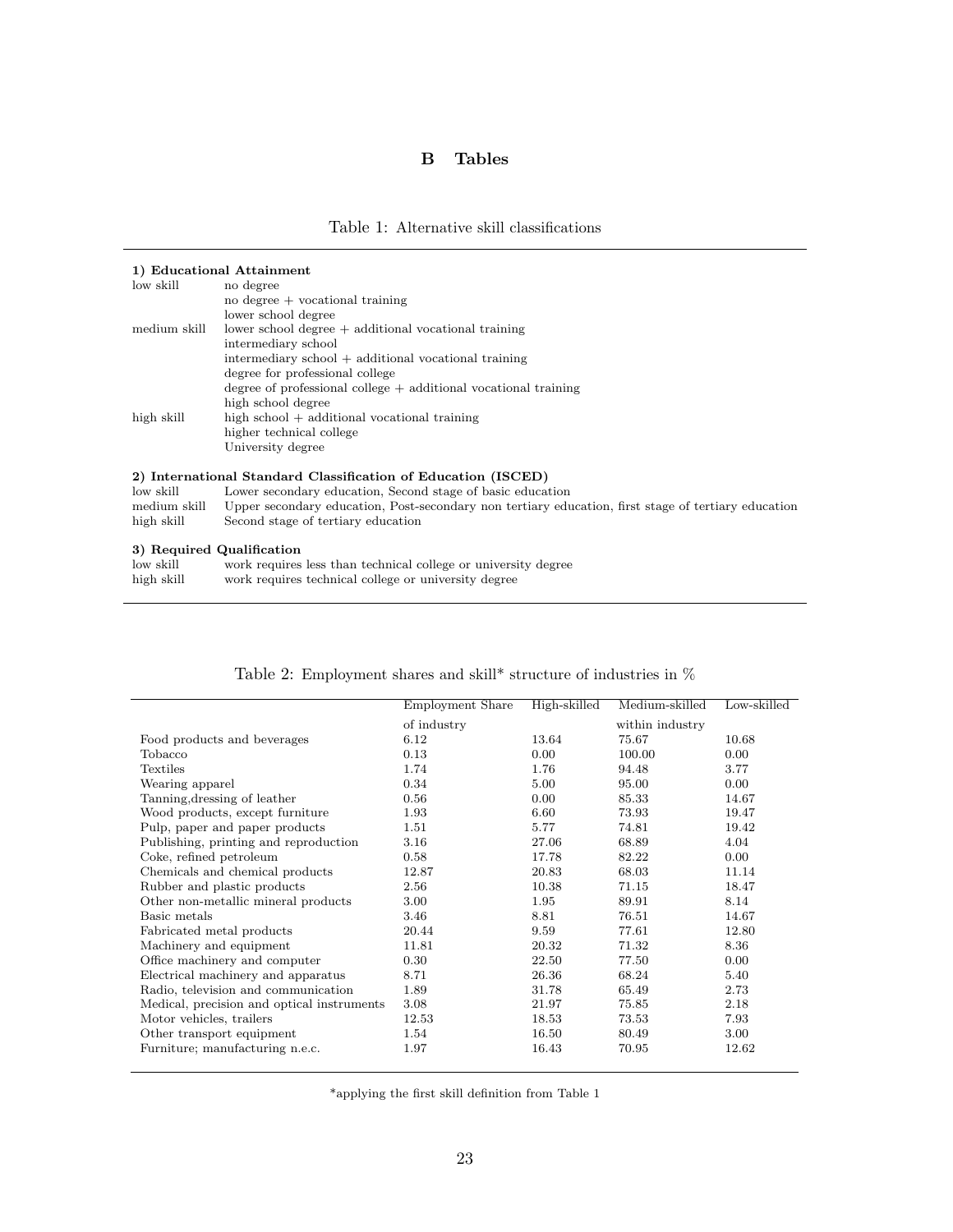#### B Tables

#### Table 1: Alternative skill classifications

#### 1) Educational Attainment

| no degree                                                                                    |
|----------------------------------------------------------------------------------------------|
| no degree $+$ vocational training                                                            |
| lower school degree                                                                          |
| $lower school degree + additional vocalional training$                                       |
| intermediary school                                                                          |
| intermediary $\mathrm{school} + \mathrm{additional}\ \mathrm{vocational}\ \mathrm{training}$ |
| degree for professional college                                                              |
| degree of professional college $+$ additional vocational training                            |
| high school degree                                                                           |
| high school $+$ additional vocational training                                               |
| higher technical college                                                                     |
| University degree                                                                            |
|                                                                                              |

#### 2) International Standard Classification of Education (ISCED)

| low skill  | Lower secondary education, Second stage of basic education                                                       |
|------------|------------------------------------------------------------------------------------------------------------------|
|            | medium skill Upper secondary education, Post-secondary non tertiary education, first stage of tertiary education |
| high skill | Second stage of tertiary education                                                                               |

#### 3) Required Qualification

| low skill  | work requires less than technical college or university degree |
|------------|----------------------------------------------------------------|
| high skill | work requires technical college or university degree           |

|             |                  |                 | Low-skilled    |
|-------------|------------------|-----------------|----------------|
| of industry |                  | within industry |                |
| 6.12        | 13.64            | 75.67           | 10.68          |
| 0.13        | 0.00             | 100.00          | 0.00           |
| 1.74        | 1.76             | 94.48           | 3.77           |
| 0.34        | 5.00             | 95.00           | 0.00           |
| 0.56        | 0.00             | 85.33           | 14.67          |
| 1.93        | 6.60             | 73.93           | 19.47          |
| 1.51        | 5.77             | 74.81           | 19.42          |
| 3.16        | 27.06            | 68.89           | 4.04           |
| 0.58        | 17.78            | 82.22           | 0.00           |
| 12.87       | 20.83            | 68.03           | 11.14          |
| 2.56        | 10.38            | 71.15           | 18.47          |
| 3.00        | 1.95             | 89.91           | 8.14           |
| 3.46        | 8.81             | 76.51           | 14.67          |
| 20.44       | 9.59             | 77.61           | 12.80          |
| 11.81       | 20.32            | 71.32           | 8.36           |
| 0.30        | 22.50            | 77.50           | 0.00           |
| 8.71        | 26.36            | 68.24           | 5.40           |
| 1.89        | 31.78            | 65.49           | 2.73           |
| 3.08        | 21.97            | 75.85           | 2.18           |
| 12.53       | 18.53            | 73.53           | 7.93           |
| 1.54        | 16.50            | 80.49           | 3.00           |
| 1.97        | 16.43            | 70.95           | 12.62          |
|             | Employment Share | High-skilled    | Medium-skilled |

#### Table 2: Employment shares and skill\* structure of industries in  $\%$

 $^\ast$  applying the first skill definition from Table 1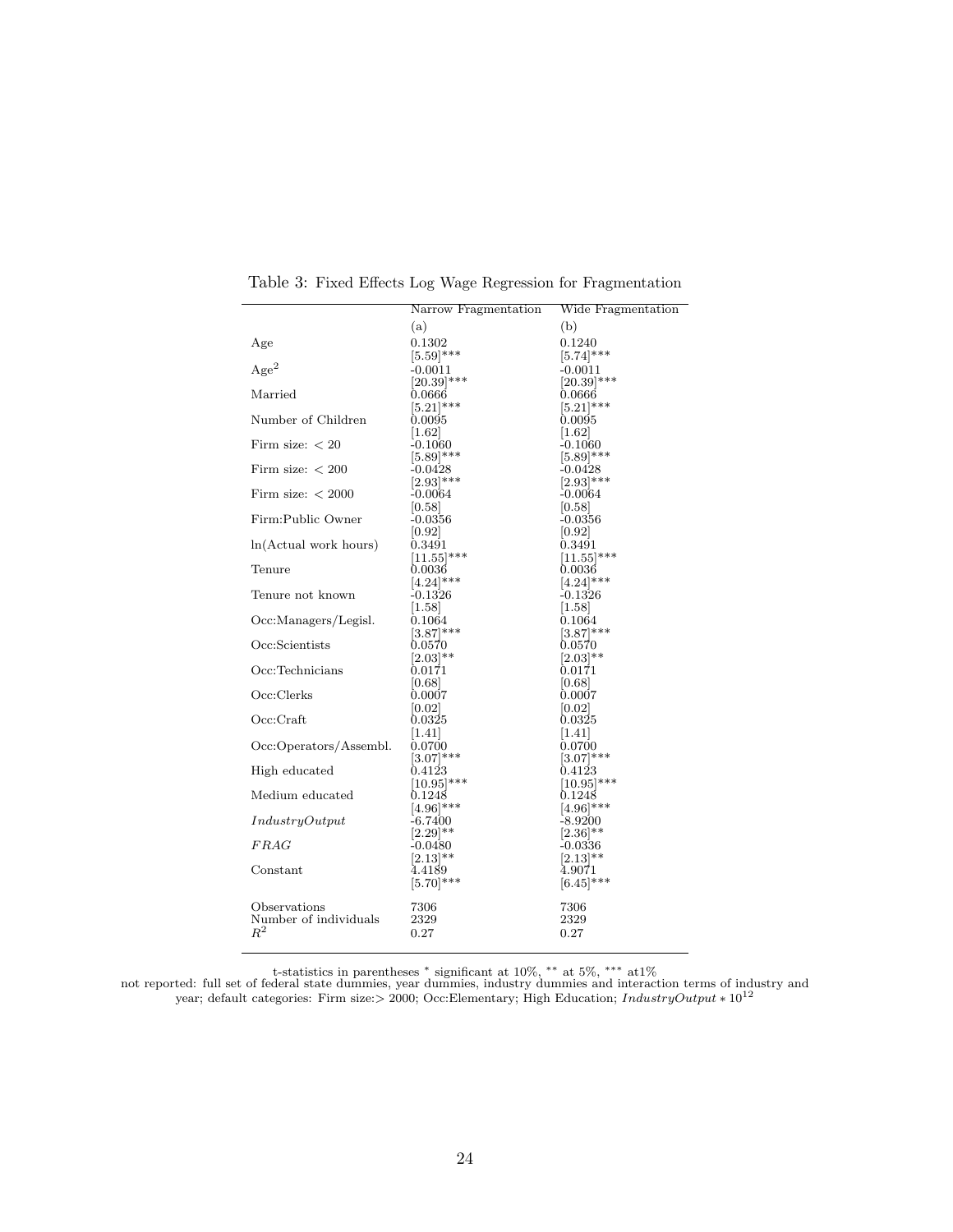|                                       | Narrow Fragmentation      | Wide Fragmentation           |
|---------------------------------------|---------------------------|------------------------------|
|                                       | (a)                       | (b)                          |
| Age                                   | 0.1302                    | 0.1240                       |
|                                       | $[5.59]$ ***              | $[5.74]$ ***                 |
| Age <sup>2</sup>                      | $-0.0011$                 | $-0.0011$                    |
|                                       | $[20.39]$ ***             | $[20.39]$ ***                |
| Married                               | 0.0666                    | 0.0666                       |
|                                       | $[5.21]$ ***              | $[5.21]$ ***                 |
| Number of Children                    | 0.0095                    | 0.0095                       |
| Firm size: $<$ 20                     | 1.62                      | 1.62                         |
|                                       | $-0.1060$<br>$[5.89]$ *** | $-0.1060$<br>$[5.89]$ ***    |
| Firm size: $< 200$                    | $-0.0428$                 | $-0.0428$                    |
|                                       | $[2.93]$ ***              | $[2.93]$ ***                 |
| Firm size: $<$ 2000                   | $-0.0064$                 | $-0.0064$                    |
|                                       | 0.58                      | 0.58                         |
| Firm:Public Owner                     | $-0.0356$                 | $-0.0356$                    |
|                                       | 0.92                      | 0.92                         |
| ln(Actual work hours)                 | 0.3491                    | 0.3491                       |
| Tenure                                | $[11.55]$ ***<br>0.0036   | $[11.55]$ ***<br>$_{0.0036}$ |
|                                       | $[4.24]$ ***              | $[4.24]$ ***                 |
| Tenure not known                      | $-0.1326$                 | $-0.1326$                    |
|                                       | [1.58]                    | 1.58                         |
| Occ:Managers/Legisl.                  | 0.1064                    | 0.1064                       |
|                                       | $[3.87]$ ***              | $[3.87]$ ***                 |
| Occ:Scientists                        | 0.0570                    | 0.0570                       |
|                                       | $[2.03]$ **               | $ 2.03 ^{**}$                |
| Occ:Technicians                       | 0.0171                    | 0.0171                       |
| Occ:Clerks                            | 0.68 <br>0.0007           | 0.68 <br>0.0007              |
|                                       | 0.02                      | 0.02                         |
| Occ:Craft                             | 0.0325                    | $_{0.0325}$                  |
|                                       | 1.41                      | 1.41                         |
| Occ:Operators/Assembl.                | 0.0700                    | 0.0700                       |
|                                       | $[3.07]$ ***              | $[3.07]$ ***                 |
| High educated                         | 0.4123                    | 0.4123                       |
|                                       | $[10.95]$ ***             | $[10.95]$ ***                |
| Medium educated                       | 0.1248                    | 0.1248<br>$[4.96]$ ***       |
| IndustryOutput                        | $[4.96]$ ***<br>$-6.7400$ | -8.9200                      |
|                                       | $[2.29]$ **               | $[2.36]^{**}$                |
| FRAG                                  | $-0.0480$                 | $-0.0336$                    |
|                                       | $[2.13]$ **               | $[2.13]^{**}$                |
| Constant                              | 4.4189                    | 4.9071                       |
|                                       | $[5.70]$ ***              | $[6.45]$ ***                 |
|                                       |                           |                              |
| Observations<br>Number of individuals | 7306<br>2329              | 7306<br>2329                 |
| $\,R^2$                               | 0.27                      | 0.27                         |
|                                       |                           |                              |

Table 3: Fixed Effects Log Wage Regression for Fragmentation

t-statistics in parentheses <sup>∗</sup> significant at 10%, ∗∗ at 5%, ∗∗∗ at1% not reported: full set of federal state dummies, year dummies, industry dummies and interaction terms of industry and year; default categories: Firm size:> 2000; Occ:Elementary; High Education; IndustryOutput  $*10^{12}$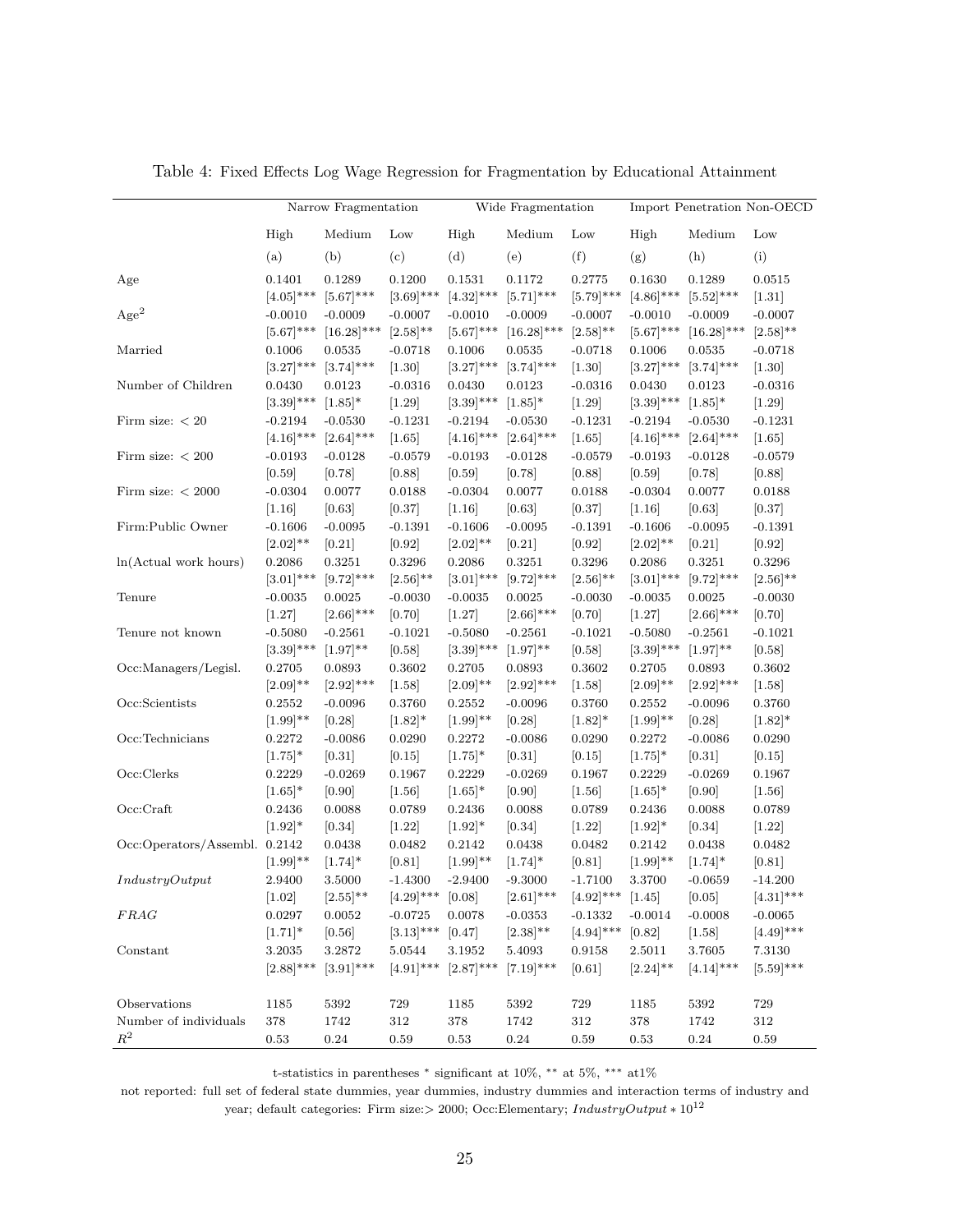|                               |               | Narrow Fragmentation     |                         |               | Wide Fragmentation |               |               |               | Import Penetration Non-OECD |
|-------------------------------|---------------|--------------------------|-------------------------|---------------|--------------------|---------------|---------------|---------------|-----------------------------|
|                               | High          | Medium                   | Low                     | High          | Medium             | Low           | High          | Medium        | Low                         |
|                               | (a)           | (b)                      | (c)                     | (d)           | (e)                | (f)           | (g)           | (h)           | (i)                         |
| Age                           | 0.1401        | 0.1289                   | 0.1200                  | 0.1531        | 0.1172             | 0.2775        | 0.1630        | 0.1289        | 0.0515                      |
|                               | $[4.05]$ ***  | $[5.67]$ ***             | $[3.69]^{\ast\ast\ast}$ | $[4.32]$ ***  | $[5.71]$ ***       | $[5.79]$ ***  | $[4.86]$ ***  | $[5.52]$ ***  | $[1.31]$                    |
| Age <sup>2</sup>              | $-0.0010$     | $-0.0009$                | $-0.0007$               | $-0.0010$     | $-0.0009$          | $-0.0007$     | $-0.0010$     | $-0.0009$     | $-0.0007$                   |
|                               |               | $[5.67]***$ $[16.28]***$ | $[2.58]^{**}$           | $[5.67]$ ***  | $[16.28]$ ***      | $[2.58]^{**}$ | $[5.67]$ ***  | $[16.28]$ *** | $[2.58]^{**}$               |
| Married                       | 0.1006        | 0.0535                   | $-0.0718$               | 0.1006        | 0.0535             | $-0.0718$     | 0.1006        | 0.0535        | $-0.0718$                   |
|                               | $[3.27]$ ***  | $[3.74]$ ***             | [1.30]                  | $[3.27]$ ***  | $[3.74]$ ***       | [1.30]        | $[3.27]$ ***  | $[3.74]$ ***  | $[1.30]$                    |
| Number of Children            | 0.0430        | 0.0123                   | $-0.0316$               | 0.0430        | 0.0123             | $-0.0316$     | 0.0430        | 0.0123        | $-0.0316$                   |
|                               | $[3.39]$ ***  | $[1.85]$ *               | [1.29]                  | $[3.39]$ ***  | $[1.85]^{*}$       | [1.29]        | $[3.39]$ ***  | $[1.85]$ *    | [1.29]                      |
| Firm size: $<$ 20             | $-0.2194$     | $-0.0530$                | $-0.1231$               | $-0.2194$     | $-0.0530$          | $-0.1231$     | $-0.2194$     | $-0.0530$     | $-0.1231$                   |
|                               |               | $[4.16]***$ $[2.64]***$  | [1.65]                  | $[4.16]$ ***  | $[2.64]$ ***       | [1.65]        | $[4.16]$ ***  | $[2.64]$ ***  | [1.65]                      |
| Firm size: $< 200$            | $-0.0193$     | $-0.0128$                | $-0.0579$               | $-0.0193$     | $-0.0128$          | $-0.0579$     | $-0.0193$     | $-0.0128$     | $-0.0579$                   |
|                               | [0.59]        | [0.78]                   | [0.88]                  | $[0.59]$      | [0.78]             | [0.88]        | $[0.59]$      | [0.78]        | [0.88]                      |
| Firm size: $<$ 2000           | $-0.0304$     | 0.0077                   | 0.0188                  | $-0.0304$     | 0.0077             | 0.0188        | $-0.0304$     | 0.0077        | 0.0188                      |
|                               | [1.16]        | [0.63]                   | [0.37]                  | [1.16]        | [0.63]             | $[0.37]$      | $[1.16]$      | [0.63]        | [0.37]                      |
| Firm:Public Owner             | $-0.1606$     | $-0.0095$                | $-0.1391$               | $-0.1606$     | $-0.0095$          | $-0.1391$     | $-0.1606$     | $-0.0095$     | $-0.1391$                   |
|                               | $[2.02]^{**}$ | $[0.21]$                 | $[0.92]$                | $[2.02]^{**}$ | $[0.21]$           | [0.92]        | $[2.02]^{**}$ | $[0.21]$      | $[0.92]$                    |
| ln(Actual work hours)         | 0.2086        | 0.3251                   | 0.3296                  | 0.2086        | 0.3251             | 0.3296        | 0.2086        | 0.3251        | 0.3296                      |
|                               | $[3.01]$ ***  | $[9.72]$ ***             | $[2.56]^{**}$           | $[3.01]$ ***  | $[9.72]$ ***       | $[2.56]^{**}$ | $[3.01]$ ***  | $[9.72]$ ***  | $[2.56]^{**}$               |
| Tenure                        | $-0.0035$     | 0.0025                   | $-0.0030$               | $-0.0035$     | 0.0025             | $-0.0030$     | $-0.0035$     | 0.0025        | $-0.0030$                   |
|                               | [1.27]        | $[2.66]$ ***             | $[0.70]$                | [1.27]        | $[2.66]$ ***       | [0.70]        | [1.27]        | $[2.66]$ ***  | [0.70]                      |
| Tenure not known              | $-0.5080$     | $-0.2561$                | $-0.1021$               | $-0.5080$     | $-0.2561$          | $-0.1021$     | $-0.5080$     | $-0.2561$     | $-0.1021$                   |
|                               | $[3.39]$ ***  | $[1.97]^{**}$            | [0.58]                  | $[3.39]$ ***  | $[1.97]^{**}$      | [0.58]        | $[3.39]$ ***  | $[1.97]^{**}$ | [0.58]                      |
| Occ:Managers/Legisl.          | 0.2705        | 0.0893                   | $0.3602\,$              | 0.2705        | 0.0893             | 0.3602        | $0.2705\,$    | 0.0893        | 0.3602                      |
|                               | $[2.09]^{**}$ | $[2.92]$ ***             | [1.58]                  | $[2.09]^{**}$ | $[2.92]$ ***       | [1.58]        | $[2.09]^{**}$ | $[2.92]$ ***  | [1.58]                      |
| Occ:Scientists                | 0.2552        | $-0.0096$                | 0.3760                  | $0.2552\,$    | $-0.0096$          | 0.3760        | 0.2552        | $-0.0096$     | 0.3760                      |
|                               | $[1.99]^{**}$ | [0.28]                   | $[1.82]^{*}$            | $[1.99]^{**}$ | $[0.28]$           | $[1.82]$ *    | $[1.99]^{**}$ | $[0.28]$      | $[1.82]$ *                  |
| Occ:Technicians               | 0.2272        | $-0.0086$                | 0.0290                  | 0.2272        | $-0.0086$          | $0.0290\,$    | ${0.2272}$    | $-0.0086$     | 0.0290                      |
|                               | $[1.75]$ *    | $[0.31]$                 | [0.15]                  | $[1.75]$ *    | $[0.31]$           | [0.15]        | $[1.75]$ *    | $[0.31]$      | [0.15]                      |
| Occ:Clerks                    | 0.2229        | $-0.0269$                | $0.1967\,$              | 0.2229        | $-0.0269$          | 0.1967        | 0.2229        | $-0.0269$     | 0.1967                      |
|                               | $[1.65]$ *    | $[0.90]$                 | [1.56]                  | $[1.65]$ *    | $[0.90]$           | $[1.56]$      | $[1.65]$ *    | [0.90]        | [1.56]                      |
| Occ:Craft                     | 0.2436        | 0.0088                   | 0.0789                  | 0.2436        | 0.0088             | 0.0789        | 0.2436        | 0.0088        | 0.0789                      |
|                               | $[1.92]^{*}$  | $[0.34]$                 | [1.22]                  | $[1.92]$ *    | [0.34]             | [1.22]        | $[1.92]^{*}$  | $[0.34]$      | [1.22]                      |
| Occ:Operators/Assembl. 0.2142 |               | 0.0438                   | $\,0.0482\,$            | 0.2142        | 0.0438             | $\,0.0482\,$  | 0.2142        | 0.0438        | 0.0482                      |
|                               | $[1.99]$ **   | $[1.74]$ *               | $[0.81]$                | $[1.99]^{**}$ | $[1.74]$ *         | [0.81]        | $[1.99]^{**}$ | $[1.74]$ *    | $[0.81]$                    |
| IndustryOutput                | 2.9400        | 3.5000                   | $-1.4300$               | $-2.9400$     | $-9.3000$          | $-1.7100$     | 3.3700        | $-0.0659$     | $-14.200$                   |
|                               | $[1.02]$      | $[2.55]^{**}$            | $[4.29]$ ***            | [0.08]        | $[2.61]$ ***       | $[4.92]$ ***  | $[1.45]$      | [0.05]        | $[4.31]$ ***                |
| <b>FRAG</b>                   | 0.0297        | 0.0052                   | $-0.0725$               | 0.0078        | $-0.0353$          | $-0.1332$     | $-0.0014$     | $-0.0008$     | $-0.0065$                   |
|                               | $[1.71]$ *    | [0.56]                   | $[3.13]$ ***            | [0.47]        | $[2.38]^{**}$      | $[4.94]$ ***  | $[0.82]$      | $[1.58]$      | $[4.49]$ ***                |
| Constant                      | 3.2035        | 3.2872                   | 5.0544                  | 3.1952        | 5.4093             | 0.9158        | $2.5011\,$    | 3.7605        | 7.3130                      |
|                               | $[2.88]$ ***  | $[3.91]$ ***             | $[4.91]$ ***            | $[2.87]$ ***  | $[7.19]$ ***       | [0.61]        | $[2.24]$ **   | $[4.14]$ ***  | $[5.59]$ ***                |
|                               |               |                          |                         |               |                    |               |               |               |                             |
| Observations                  | 1185          | 5392                     | 729                     | 1185          | 5392               | 729           | 1185          | 5392          | 729                         |
| Number of individuals         | $378\,$       | 1742                     | $312\,$                 | $378\,$       | 1742               | 312           | $378\,$       | 1742          | $312\,$                     |
| $\mathbb{R}^2$                | $\rm 0.53$    | $\rm 0.24$               | 0.59                    | 0.53          | 0.24               | 0.59          | 0.53          | 0.24          | 0.59                        |

Table 4: Fixed Effects Log Wage Regression for Fragmentation by Educational Attainment

t-statistics in parentheses  $^*$  significant at 10%,  $^{**}$  at 5%,  $^{***}$  at1%  $\,$ 

not reported: full set of federal state dummies, year dummies, industry dummies and interaction terms of industry and year; default categories: Firm size:> 2000; Occ:Elementary;  $IndustryOutput * 10^{12}$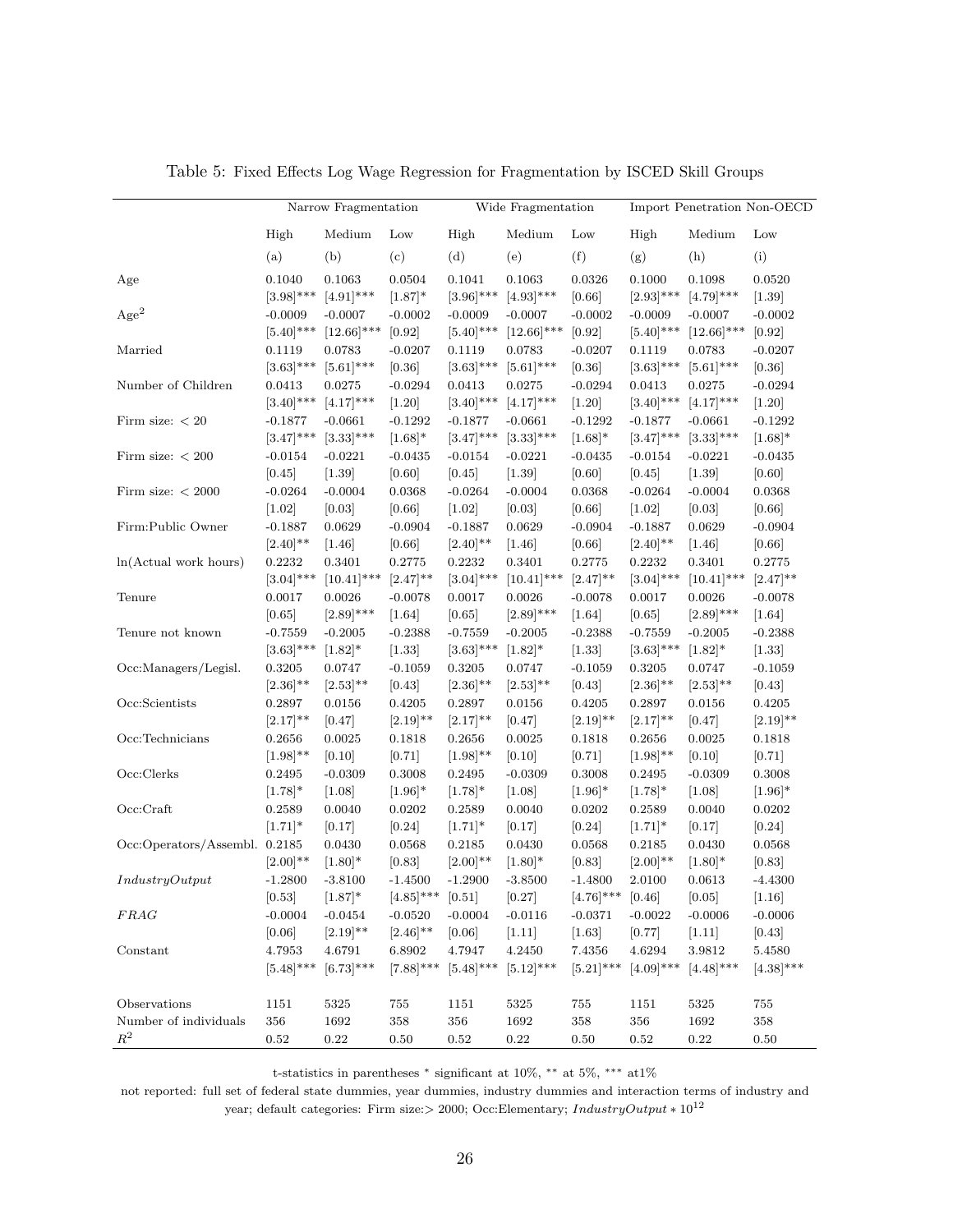|                               |               | Narrow Fragmentation |               |               | Wide Fragmentation |              |                         |               | Import Penetration Non-OECD |
|-------------------------------|---------------|----------------------|---------------|---------------|--------------------|--------------|-------------------------|---------------|-----------------------------|
|                               | High          | Medium               | Low           | High          | Medium             | Low          | High                    | Medium        | Low                         |
|                               | (a)           | (b)                  | (c)           | (d)           | (e)                | (f)          | (g)                     | (h)           | (i)                         |
| Age                           | 0.1040        | 0.1063               | 0.0504        | 0.1041        | 0.1063             | 0.0326       | 0.1000                  | 0.1098        | 0.0520                      |
|                               | $[3.98]$ ***  | $[4.91]$ ***         | $[1.87]$ *    | $[3.96]$ ***  | $[4.93]$ ***       | [0.66]       | $[2.93]^{\ast\ast\ast}$ | $[4.79]$ ***  | $[1.39]$                    |
| Age <sup>2</sup>              | $-0.0009$     | $-0.0007$            | $-0.0002$     | $-0.0009$     | $-0.0007$          | $-0.0002$    | $-0.0009$               | $-0.0007$     | $-0.0002$                   |
|                               | $[5.40]$ ***  | $[12.66]$ ***        | [0.92]        | $[5.40]$ ***  | $[12.66]$ ***      | [0.92]       | $[5.40]$ ***            | $[12.66]$ *** | [0.92]                      |
| Married                       | 0.1119        | 0.0783               | $-0.0207$     | 0.1119        | 0.0783             | $-0.0207$    | 0.1119                  | 0.0783        | $-0.0207$                   |
|                               | $[3.63]$ ***  | $[5.61]$ ***         | $[0.36]$      | $[3.63]$ ***  | $[5.61]$ ***       | [0.36]       | $[3.63]$ ***            | $[5.61]$ ***  | [0.36]                      |
| Number of Children            | 0.0413        | 0.0275               | $-0.0294$     | 0.0413        | 0.0275             | $-0.0294$    | 0.0413                  | 0.0275        | $-0.0294$                   |
|                               | $[3.40]$ ***  | $[4.17]$ ***         | $[1.20]$      | $[3.40]$ ***  | $[4.17]$ ***       | $[1.20]$     | $[3.40]$ ***            | $[4.17]$ ***  | $[1.20]$                    |
| Firm size: $<$ 20             | $-0.1877$     | $-0.0661$            | $-0.1292$     | $-0.1877$     | $-0.0661$          | $-0.1292$    | $-0.1877$               | $-0.0661$     | $-0.1292$                   |
|                               | $[3.47]$ ***  | $[3.33]$ ***         | $[1.68]$ *    | $[3.47]$ ***  | $[3.33]$ ***       | $[1.68]$ *   | $[3.47]$ ***            | $[3.33]$ ***  | $[1.68]$ *                  |
| Firm size: $< 200$            | $-0.0154$     | $-0.0221$            | $-0.0435$     | $-0.0154$     | $-0.0221$          | $-0.0435$    | $-0.0154$               | $-0.0221$     | $-0.0435$                   |
|                               | [0.45]        | $[1.39]$             | [0.60]        | [0.45]        | $[1.39]$           | [0.60]       | $[0.45]$                | $[1.39]$      | [0.60]                      |
| Firm size: $<$ 2000           | $-0.0264$     | $-0.0004$            | 0.0368        | $-0.0264$     | $-0.0004$          | 0.0368       | $-0.0264$               | $-0.0004$     | 0.0368                      |
|                               | [1.02]        | [0.03]               | [0.66]        | $[1.02]$      | [0.03]             | [0.66]       | $[1.02]$                | [0.03]        | [0.66]                      |
| Firm:Public Owner             | $-0.1887$     | 0.0629               | $-0.0904$     | $-0.1887$     | 0.0629             | $-0.0904$    | $-0.1887$               | 0.0629        | $-0.0904$                   |
|                               | $[2.40]^{**}$ | [1.46]               | [0.66]        | $[2.40]$ **   | $[1.46]$           | [0.66]       | $[2.40]^{**}$           | $[1.46]$      | [0.66]                      |
| ln(Actual work hours)         | 0.2232        | 0.3401               | 0.2775        | 0.2232        | 0.3401             | 0.2775       | 0.2232                  | 0.3401        | 0.2775                      |
|                               | $[3.04]$ ***  | $[10.41]$ ***        | $[2.47]^{**}$ | $[3.04]$ ***  | $[10.41]$ ***      | $[2.47]$ **  | $[3.04]$ ***            | $[10.41]$ *** | $[2.47]^{**}$               |
| Tenure                        | 0.0017        | 0.0026               | $-0.0078$     | 0.0017        | 0.0026             | $-0.0078$    | 0.0017                  | 0.0026        | $-0.0078$                   |
|                               | $[0.65]$      | $[2.89]$ ***         | [1.64]        | $[0.65]$      | $[2.89]$ ***       | $[1.64]$     | [0.65]                  | $[2.89]$ ***  | $[1.64]$                    |
| Tenure not known              | $-0.7559$     | $-0.2005$            | $-0.2388$     | $-0.7559$     | $-0.2005$          | $-0.2388$    | $-0.7559$               | $-0.2005$     | $-0.2388$                   |
|                               | $[3.63]$ ***  | $[1.82]$ *           | [1.33]        | $[3.63]$ ***  | $[1.82]^{*}$       | $[1.33]$     | $[3.63]$ ***            | $[1.82]$ *    | [1.33]                      |
| Occ: Managers/Legisl.         | 0.3205        | 0.0747               | $-0.1059$     | 0.3205        | 0.0747             | $-0.1059$    | 0.3205                  | 0.0747        | $-0.1059$                   |
|                               | $[2.36]^{**}$ | $[2.53]^{**}$        | $[0.43]$      | $[2.36]^{**}$ | $[2.53]^{**}$      | $[0.43]$     | $[2.36]^{**}$           | $[2.53]$ **   | $[0.43]$                    |
| Occ:Scientists                | 0.2897        | 0.0156               | 0.4205        | 0.2897        | $\,0.0156\,$       | 0.4205       | 0.2897                  | 0.0156        | 0.4205                      |
|                               | $[2.17]^{**}$ | [0.47]               | $[2.19]^{**}$ | $[2.17]$ **   | [0.47]             | $[2.19]$ **  | $[2.17]^{**}$           | [0.47]        | $[2.19]^{**}$               |
| Occ:Technicians               | 0.2656        | 0.0025               | 0.1818        | 0.2656        | 0.0025             | 0.1818       | 0.2656                  | 0.0025        | 0.1818                      |
|                               | $[1.98]^{**}$ | [0.10]               | $[0.71]$      | $[1.98]^{**}$ | [0.10]             | [0.71]       | $[1.98]^{**}$           | [0.10]        | [0.71]                      |
| Occ:Clerks                    | 0.2495        | $-0.0309$            | 0.3008        | 0.2495        | $-0.0309$          | 0.3008       | 0.2495                  | $-0.0309$     | 0.3008                      |
|                               | $[1.78]$ *    | [1.08]               | $[1.96]$ *    | $[1.78]$ *    | [1.08]             | $[1.96]$ *   | $[1.78]$ *              | $[1.08]$      | $[1.96]$ *                  |
| Occ:Craft                     | 0.2589        | 0.0040               | 0.0202        | 0.2589        | 0.0040             | 0.0202       | 0.2589                  | 0.0040        | 0.0202                      |
|                               | $[1.71]$ *    | [0.17]               | $[0.24]$      | $[1.71]$ *    | [0.17]             | [0.24]       | $[1.71]$ *              | [0.17]        | [0.24]                      |
| Occ:Operators/Assembl. 0.2185 |               | 0.0430               | $\,0.0568\,$  | 0.2185        | 0.0430             | 0.0568       | 0.2185                  | 0.0430        | $\,0.0568\,$                |
|                               | $[2.00]^{**}$ | $[1.80]$ *           | $[0.83]$      | $[2.00]^{**}$ | $[1.80]$ *         | [0.83]       | $[2.00]^{**}$           | $[1.80]$ *    | [0.83]                      |
| IndustryOutput                | $-1.2800$     | $-3.8100$            | $-1.4500$     | $-1.2900$     | $-3.8500$          | $-1.4800$    | 2.0100                  | 0.0613        | $-4.4300$                   |
|                               | [0.53]        | $[1.87]^{*}$         | $[4.85]$ ***  | $[0.51]$      | $[0.27]$           | $[4.76]$ *** | [0.46]                  | [0.05]        | [1.16]                      |
| <i>FRAG</i>                   | $-0.0004$     | $-0.0454$            | $-0.0520$     | $-0.0004$     | $-0.0116$          | $-0.0371$    | $-0.0022$               | $-0.0006$     | $-0.0006$                   |
|                               | [0.06]        | $[2.19]^{**}$        | $[2.46]^{**}$ | [0.06]        | $[1.11]$           | [1.63]       | [0.77]                  | [1.11]        | [0.43]                      |
| Constant                      | 4.7953        | 4.6791               | 6.8902        | 4.7947        | 4.2450             | 7.4356       | 4.6294                  | 3.9812        | 5.4580                      |
|                               | $[5.48]$ ***  | $[6.73]$ ***         | $[7.88]$ ***  | $[5.48]$ ***  | $[5.12]$ ***       | $[5.21]$ *** | $[4.09]$ ***            | $[4.48]$ ***  | $[4.38]$ ***                |
| Observations                  | 1151          | 5325                 | 755           | $1151\,$      | 5325               | 755          | 1151                    | 5325          | 755                         |
| Number of individuals         | $356\,$       | 1692                 | $358\,$       | $356\,$       | 1692               | 358          | $356\,$                 | 1692          | $358\,$                     |
| $R^2$                         | $\rm 0.52$    | 0.22                 | 0.50          | 0.52          | 0.22               | 0.50         | $\rm 0.52$              | 0.22          | 0.50                        |

Table 5: Fixed Effects Log Wage Regression for Fragmentation by ISCED Skill Groups

t-statistics in parentheses  $^*$  significant at 10%,  $^{**}$  at 5%,  $^{***}$  at1%  $\,$ 

not reported: full set of federal state dummies, year dummies, industry dummies and interaction terms of industry and year; default categories: Firm size:> 2000; Occ:Elementary;  $IndustryOutput * 10^{12}$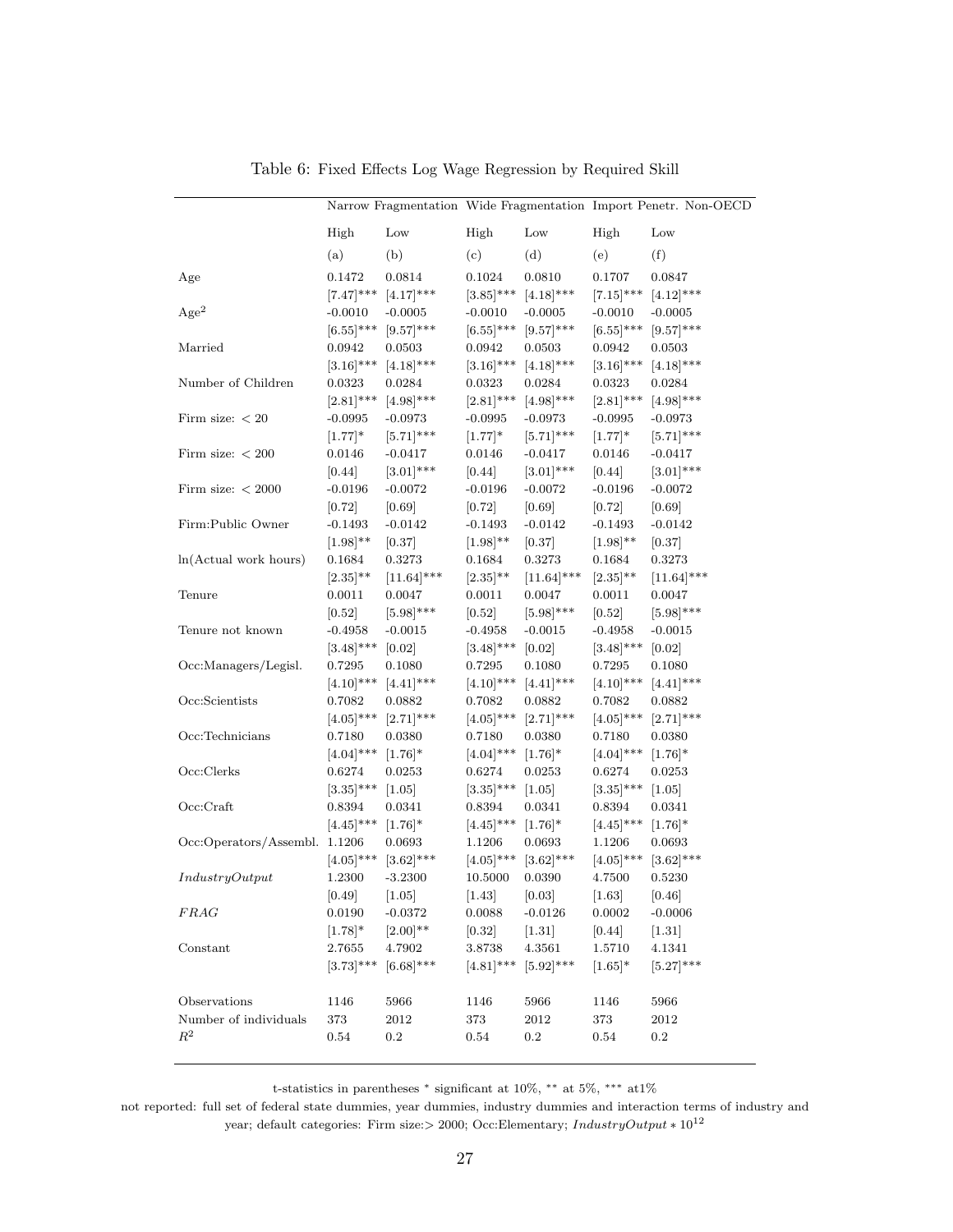|                                      |               |               |                    |               |               | Narrow Fragmentation Wide Fragmentation Import Penetr. Non-OECD |
|--------------------------------------|---------------|---------------|--------------------|---------------|---------------|-----------------------------------------------------------------|
|                                      | High          | Low           | High               | Low           | High          | Low                                                             |
|                                      | (a)           | (b)           | (c)                | (d)           | (e)           | (f)                                                             |
| Age                                  | 0.1472        | 0.0814        | $\,0.1024\,$       | 0.0810        | 0.1707        | 0.0847                                                          |
|                                      | $[7.47]$ ***  | $[4.17]$ ***  | $[3.85]$ ***       | $[4.18]$ ***  | $[7.15]$ ***  | $[4.12]$ ***                                                    |
| Age <sup>2</sup>                     | $-0.0010$     | $-0.0005$     | $-0.0010$          | $-0.0005$     | $-0.0010$     | $-0.0005$                                                       |
|                                      | $[6.55]$ ***  | $[9.57]$ ***  | $[6.55]$ ***       | $[9.57]$ ***  | $[6.55]$ ***  | $[9.57]$ ***                                                    |
| Married                              | 0.0942        | 0.0503        | 0.0942             | 0.0503        | 0.0942        | 0.0503                                                          |
|                                      | $[3.16]$ ***  | $[4.18]$ ***  | $[3.16]$ ***       | $[4.18]$ ***  | $[3.16]$ ***  | $[4.18]$ ***                                                    |
| Number of Children                   | 0.0323        | 0.0284        | 0.0323             | 0.0284        | 0.0323        | 0.0284                                                          |
|                                      | $[2.81]$ ***  | $[4.98]$ ***  | $[2.81]$ ***       | $[4.98]$ ***  | $[2.81]$ ***  | $[4.98]$ ***                                                    |
| Firm size: $<$ 20                    | $-0.0995$     | $-0.0973$     | $-0.0995$          | $-0.0973$     | -0.0995       | -0.0973                                                         |
|                                      | $[1.77]^{*}$  | $[5.71]$ ***  | $[1.77]^{*}$       | $[5.71]$ ***  | $[1.77]^{*}$  | $[5.71]$ ***                                                    |
| Firm size: $< 200$                   | 0.0146        | $-0.0417$     | 0.0146             | $-0.0417$     | 0.0146        | -0.0417                                                         |
|                                      | [0.44]        | $[3.01]$ ***  | [0.44]             | $[3.01]$ ***  | [0.44]        | $[3.01]$ ***                                                    |
| Firm size: $<$ 2000                  | $-0.0196$     | $-0.0072$     | $-0.0196$          | $-0.0072$     | $-0.0196$     | $-0.0072$                                                       |
|                                      | [0.72]        | $[0.69]$      | [0.72]             | [0.69]        | [0.72]        | [0.69]                                                          |
| Firm:Public Owner                    | $-0.1493$     | $-0.0142$     | $-0.1493$          | $-0.0142$     | $-0.1493$     | $-0.0142$                                                       |
|                                      | $[1.98]^{**}$ | $[0.37]$      | $[1.98]^{**}$      | $[0.37]$      | $[1.98]^{**}$ | [0.37]                                                          |
| ln(Actual work hours)                | 0.1684        | 0.3273        | 0.1684             | 0.3273        | 0.1684        | 0.3273                                                          |
|                                      | $[2.35]^{**}$ | $[11.64]$ *** | $[2.35]^{**}$      | $[11.64]$ *** | $[2.35]^{**}$ | $[11.64]$ ***                                                   |
| Tenure                               | 0.0011        | 0.0047        | 0.0011             | 0.0047        | 0.0011        | 0.0047                                                          |
|                                      | $[0.52]$      | $[5.98]$ ***  | $[0.52]$           | $[5.98]$ ***  | $[0.52]$      | $[5.98]$ ***                                                    |
| Tenure not known                     | $-0.4958$     | $-0.0015$     | $\textbf{-0.4958}$ | $-0.0015$     | $-0.4958$     | $-0.0015$                                                       |
|                                      | $[3.48]$ ***  | $[0.02]$      | $[3.48]$ ***       | [0.02]        | $[3.48]$ ***  | $[0.02]$                                                        |
| Occ:Managers/Legisl.                 | 0.7295        | 0.1080        | 0.7295             | 0.1080        | 0.7295        | 0.1080                                                          |
|                                      | $[4.10]$ ***  | $[4.41]$ ***  | $[4.10]$ ***       | $[4.41]$ ***  | $[4.10]$ ***  | $[4.41]$ ***                                                    |
| $\mathit{Occ}:\!\mathit{Scientists}$ | 0.7082        | 0.0882        | 0.7082             | 0.0882        | 0.7082        | 0.0882                                                          |
|                                      | $[4.05]$ ***  | $[2.71]$ ***  | $[4.05]$ ***       | $[2.71]$ ***  | $[4.05]$ ***  | $[2.71]$ ***                                                    |
| Occ:Technicians                      | 0.7180        | 0.0380        | 0.7180             | 0.0380        | 0.7180        | 0.0380                                                          |
|                                      | $[4.04]$ ***  | $[1.76]$ *    | $[4.04]$ ***       | $[1.76]^{*}$  | $[4.04]$ ***  | $[1.76]$ *                                                      |
| Occ:Clerks                           | 0.6274        | 0.0253        | 0.6274             | 0.0253        | 0.6274        | 0.0253                                                          |
|                                      | $[3.35]$ ***  | $[1.05]$      | $[3.35]$ ***       | $[1.05]$      | $[3.35]$ ***  | $[1.05]$                                                        |
| Occ:Craft                            | 0.8394        | 0.0341        | 0.8394             | 0.0341        | 0.8394        | 0.0341                                                          |
|                                      | $[4.45]$ ***  | $[1.76]$ *    | $[4.45]$ ***       | $[1.76]$ *    | $[4.45]$ ***  | $[1.76]$ *                                                      |
| Occ:Operators/Assembl. 1.1206        |               | 0.0693        | 1.1206             | 0.0693        | 1.1206        | 0.0693                                                          |
|                                      | $[4.05]$ ***  | $[3.62]$ ***  | $[4.05]$ ***       | $[3.62]$ ***  | $[4.05]$ ***  | $[3.62]$ ***                                                    |
| IndustryOutput                       | 1.2300        | $-3.2300$     | 10.5000            | 0.0390        | 4.7500        | 0.5230                                                          |
|                                      | $[0.49]$      | [1.05]        | $[1.43]$           | [0.03]        | [1.63]        | [0.46]                                                          |
| <i>FRAG</i>                          | 0.0190        | $-0.0372$     | 0.0088             | $-0.0126$     | 0.0002        | $-0.0006$                                                       |
|                                      | $[1.78]^{*}$  | $[2.00]^{**}$ | $[0.32]$           | $[1.31]$      | $[0.44]$      | $[1.31]$                                                        |
| Constant                             | 2.7655        | 4.7902        | 3.8738             | 4.3561        | 1.5710        | 4.1341                                                          |
|                                      | $[3.73]$ ***  | $[6.68]$ ***  | $[4.81]$ ***       | $[5.92]$ ***  | $[1.65]$ *    | $[5.27]$ ***                                                    |
|                                      |               |               |                    |               |               |                                                                 |
| Observations                         | 1146          | 5966          | 1146               | 5966          | 1146          | 5966                                                            |
| Number of individuals                | $373\,$       | 2012          | $373\,$            | 2012          | 373           | 2012                                                            |
| $R^2$                                | 0.54          | $0.2\,$       | 0.54               | $\rm 0.2$     | 0.54          | $0.2\,$                                                         |
|                                      |               |               |                    |               |               |                                                                 |

Table 6: Fixed Effects Log Wage Regression by Required Skill

t-statistics in parentheses  $^*$  significant at 10%,  $^{**}$  at 5%,  $^{***}$  at<br>1%

not reported: full set of federal state dummies, year dummies, industry dummies and interaction terms of industry and year; default categories: Firm size:> 2000; Occ:Elementary;  $IndustryOutput*10^{12}$